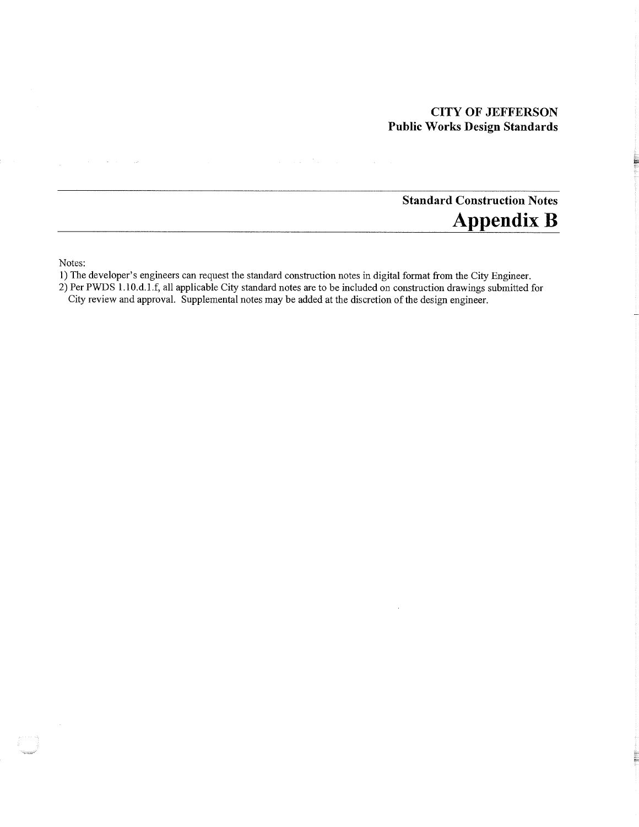# **CITY OF JEFFERSON Public Works Design Standards**

# **Standard Construction Notes Appendix B**

E

Notes:

 $\sim 10^{11}$ 

1) The developer's engineers can request the standard construction notes in digital format from the City Engineer.

 $\omega_{\rm{eff}}=2\pi$ 

2) Per PWDS 1.10.d.l.f, all applicable City standard notes are to be included on construction drawings submitted for City review and approval. Supplemental notes may be added at the discretion of the design engineer.

 $\Delta$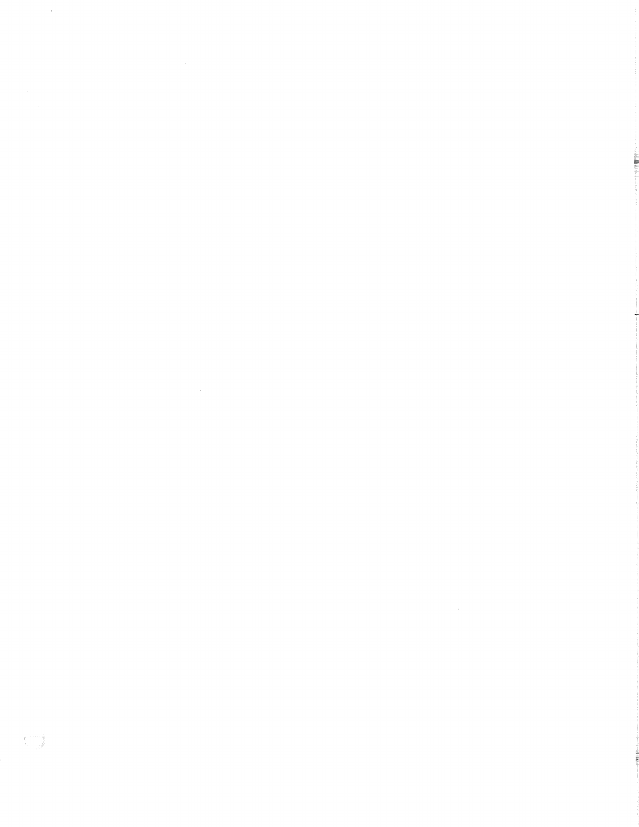$\frac{1}{2}$ 

 $\label{eq:2.1} \frac{1}{\sqrt{2}}\left(\frac{1}{\sqrt{2}}\right)^{2} \left(\frac{1}{\sqrt{2}}\right)^{2} \left(\frac{1}{\sqrt{2}}\right)^{2} \left(\frac{1}{\sqrt{2}}\right)^{2} \left(\frac{1}{\sqrt{2}}\right)^{2} \left(\frac{1}{\sqrt{2}}\right)^{2} \left(\frac{1}{\sqrt{2}}\right)^{2} \left(\frac{1}{\sqrt{2}}\right)^{2} \left(\frac{1}{\sqrt{2}}\right)^{2} \left(\frac{1}{\sqrt{2}}\right)^{2} \left(\frac{1}{\sqrt{2}}\right)^{2} \left(\$ 

j.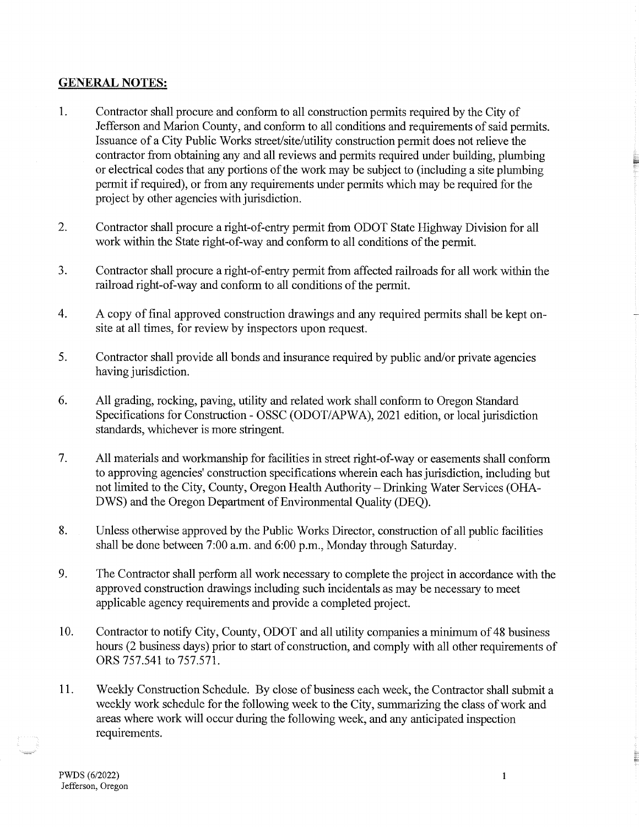# **GENERAL NOTES:**

- 1. Contractor shall procure and conform to all construction permits required by the City of Jefferson and Marion County, and conform to all conditions and requirements of said permits. Issuance of a City Public Works street/site/utility construction permit does not relieve the contractor from obtaining any and all reviews and permits required under building, plumbing or electrical codes that any portions of the work may be subject to (including a site plumbing permit if required), or from any requirements under permits which may be required for the project by other agencies with jurisdiction.
- 2. Contractor shall procure a right-of-entry permit from ODOT State Highway Division for all work within the State right-of-way and conform to all conditions of the permit.
- 3. Contractor shall procure a right-of-entry permit from affected railroads for all work within the railroad right-of-way and conform to all conditions of the permit.
- 4. A copy of final approved construction drawings and any required permits shall be kept onsite at all times, for review by inspectors upon request.
- 5. Contractor shall provide all bonds and insurance required by public and/or private agencies having jurisdiction.
- 6. All grading, rocking, paving, utility and related work shall conform to Oregon Standard Specifications for Construction - OSSC (ODOT/APWA), 2021 edition, or local jurisdiction standards, whichever is more stringent.
- 7. All materials and workmanship for facilities in street right-of-way or easements shall conform to approving agencies' construction specifications wherein each has jurisdiction, including but not limited to the City, County, Oregon Health Authority- Drinking Water Services (OHA-DWS) and the Oregon Department of Environmental Quality (DEQ).
- 8. Unless otherwise approved by the Public Works Director, construction of all public facilities shall be done between 7:00 a.m. and 6:00 p.m., Monday through Saturday.
- 9. The Contractor shall perform all work necessary to complete the project in accordance with the approved construction drawings including such incidentals as may be necessary to meet applicable agency requirements and provide a completed project.
- 10. Contractor to notify City, County, ODOT and all utility companies a minimum of 48 business hours (2 business days) prior to start of construction, and comply with all other requirements of ORS 757.541 to 757.571.
- 11. Weekly Construction Schedule. By close of business each week, the Contractor shall submit a weekly work schedule for the following week to the City, summarizing the class of work and areas where work will occur during the following week, and any anticipated inspection requirements.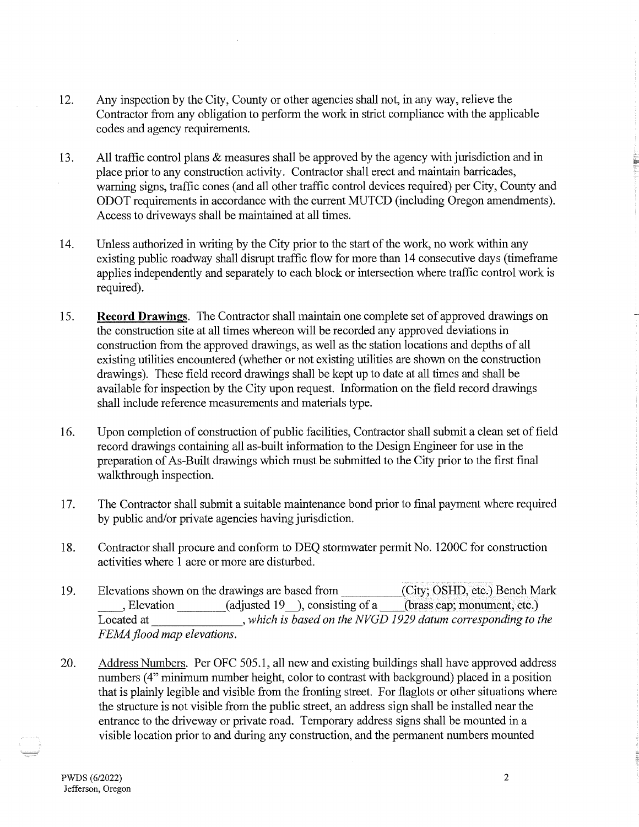- 12. Any inspection by the City, County or other agencies shall not, in any way, relieve the Contractor from any obligation to perform the work in strict compliance with the applicable codes and agency requirements.
- 13. All traffic control plans & measures shall be approved by the agency with jurisdiction and in place prior to any construction activity. Contractor shall erect and maintain barricades, warning signs, traffic cones (and all other traffic control devices required) per City, County and ODOT requirements in accordance with the current MUTCD (including Oregon amendments). Access to driveways shall be maintained at all times.
- 14. Unless authorized in writing by the City prior to the start of the work, no work within any existing public roadway shall disrupt traffic flow for more than 14 consecutive days (timeframe applies independently and separately to each block or intersection where traffic control work is required).
- 15. **Record Drawings.** The Contractor shall maintain one complete set of approved drawings on the construction site at all times whereon will be recorded any approved deviations in construction from the approved drawings, as well as the station locations and depths of all existing utilities encountered (whether or not existing utilities are shown on the construction drawings). These field record drawings shall be kept up to date at all times and shall be available for inspection by the City upon request. Information on the field record drawings shall include reference measurements and materials type.
- 16. Upon completion of construction of public facilities, Contractor shall submit a clean set of field record drawings containing all as-built information to the Design Engineer for use in the preparation of As-Built drawings which must be submitted to the City prior to the first final walkthrough inspection.
- 17. The Contractor shall submit a suitable maintenance bond prior to final payment where required by public and/or private agencies having jurisdiction.
- 18. Contractor shall procure and conform to DEQ stormwater permit No. 1200C for construction activities where 1 acre or more are disturbed.
- 19. Elevations shown on the drawings are based from (City; OSHD, etc.) Bench Mark . Elevation (adjusted 19), consisting of a (brass cap; monument, etc.) Located at  $, which is based on the NVGD 1929 datum corresponding to the$ *FEMA flood map elevations.*
- 20. Address Numbers. Per OFC 505.1, all new and existing buildings shall have approved address numbers (4" minimum number height, color to contrast with background) placed in a position that is plainly legible and visible from the fronting street. For flaglots or other situations where the structure is not visible from the public street, an address sign shall be installed near the entrance to the driveway or private road. Temporary address signs shall be mounted in a visible location prior to and during any construction, and the permanent numbers mounted

2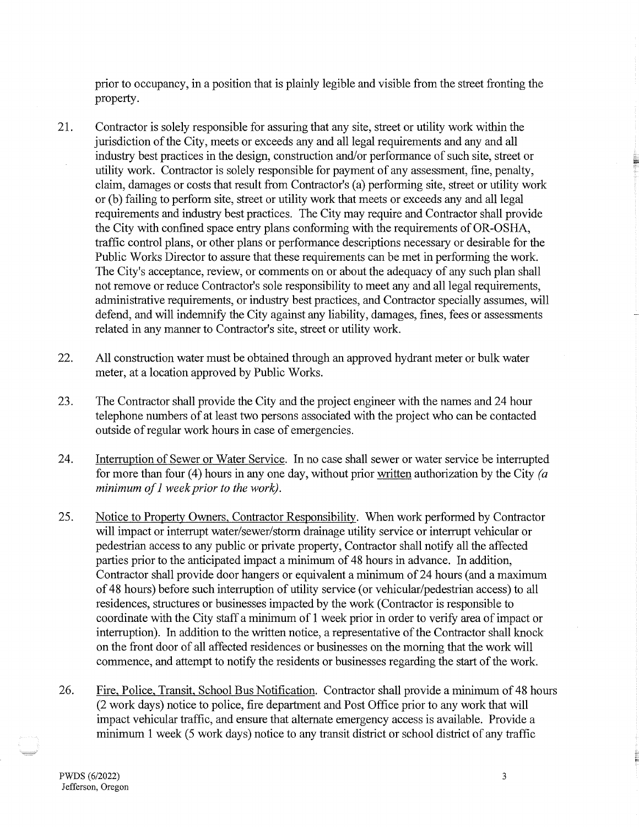prior to occupancy, in a position that is plainly legible and visible from the street fronting the property.

- 21. Contractor is solely responsible for assuring that any site, street or utility work within the jurisdiction of the City, meets or exceeds any and all legal requirements and any and all industry best practices in the design, construction and/or performance of such site, street or utility work. Contractor is solely responsible for payment of any assessment, fine, penalty, claim, damages or costs that result from Contractor's (a) performing site, street or utility work or (b) failing to perform site, street or utility work that meets or exceeds any and all legal requirements and industry best practices. The City may require and Contractor shall provide the City with confined space entry plans conforming with the requirements of OR-OSHA, traffic control plans, or other plans or performance descriptions necessary or desirable for the Public Works Director to assure that these requirements can be met in performing the work. The City's acceptance, review, or comments on or about the adequacy of any such plan shall not remove or reduce Contractor's sole responsibility to meet any and all legal requirements, administrative requirements, or industry best practices, and Contractor specially assumes, will defend, and will indemnify the City against any liability, damages, fines, fees or assessments related in any manner to Contractor's site, street or utility work.
- 22. All construction water must be obtained through an approved hydrant meter or bulk water meter, at a location approved by Public Works.
- 23. The Contractor shall provide the City and the project engineer with the names and 24 hour telephone numbers of at least two persons associated with the project who can be contacted outside of regular work hours in case of emergencies.
- 24. Interruption of Sewer or Water Service. In no case shall sewer or water service be interrupted for more than four (4) hours in any one day, without prior written authorization by the City *(a minimum of 1 week prior to the work).*
- 25. Notice to Property Owners, Contractor Responsibility. When work performed by Contractor will impact or interrupt water/sewer/storm drainage utility service or interrupt vehicular or pedestrian access to any public or private property, Contractor shall notify all the affected parties prior to the anticipated impact a minimum of 48 hours in advance. In addition, Contractor shall provide door hangers or equivalent a minimum of24 hours (and a maximum of 48 hours) before such interruption of utility service (or vehicular/pedestrian access) to all residences, structures or businesses impacted by the work (Contractor is responsible to coordinate with the City staff a minimum of 1 week prior in order to verify area of impact or interruption). In addition to the written notice, a representative of the Contractor shall knock on the front door of all affected residences or businesses on the morning that the work will commence, and attempt to notify the residents or businesses regarding the start of the work.
- 26. Fire, Police, Transit, School Bus Notification. Contractor shall provide a minimum of 48 hours (2 work days) notice to police, fire department and Post Office prior to any work that will impact vehicular traffic, and ensure that alternate emergency access is available. Provide a minimum 1 week (5 work days) notice to any transit district or school district of any traffic

3

È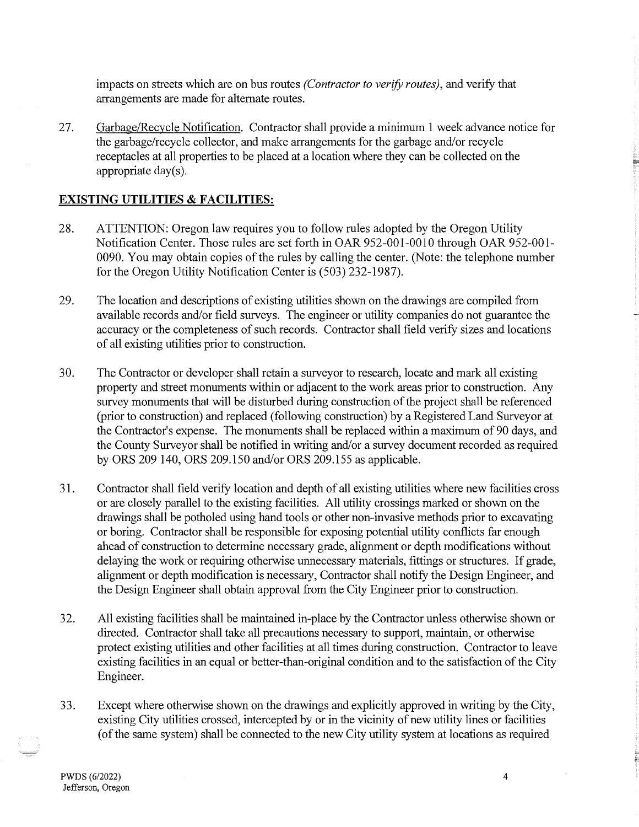impacts on streets which are on bus routes *(Contractor to verifY routes),* and verify that arrangements are made for alternate routes.

27. Garbage/Recycle Notification. Contractor shall provide a minimum 1 week advance notice for the garbage/recycle collector, and make arrangements for the garbage and/or recycle receptacles at all properties to be placed at a location where they can be collected on the appropriate  $day(s)$ .

## **EXISTING UTILITIES & FACILITIES:**

- 28. ATTENTION: Oregon law requires you to follow rules adopted by the Oregon Utility Notification Center. Those rules are set forth in OAR 952-001-0010 through OAR 952-001- 0090. You may obtain copies of the rules by calling the center. (Note: the telephone number for the Oregon Utility Notification Center is (503) 232-1987).
- 29. The location and descriptions of existing utilities shown on the drawings are compiled from available records and/or field surveys. The engineer or utility companies do not guarantee the accuracy or the completeness of such records. Contractor shall field verify sizes and locations of all existing utilities prior to construction.
- 30. The Contractor or developer shall retain a surveyor to research, locate and mark all existing property and street monuments within or adjacent to the work areas prior to construction. Any survey monuments that will be disturbed during construction of the project shall be referenced (prior to construction) and replaced (following construction) by a Registered Land Surveyor at the Contractor's expense. The monuments shall be replaced within a maximum of 90 days, and the County Surveyor shall be notified in writing and/or a survey document recorded as required by ORS 209 140, ORS 209.150 and/or ORS 209.155 as applicable.
- 31. Contractor shall field verify location and depth of all existing utilities where new facilities cross or are closely parallel to the existing facilities. All utility crossings marked or shown on the drawings shall be potholed using hand tools or other non-invasive methods prior to excavating or boring. Contractor shall be responsible for exposing potential utility conflicts far enough ahead of construction to determine necessary grade, alignment or depth modifications without delaying the work or requiring otherwise unnecessary materials, fittings or structures. If grade, alignment or depth modification is necessary, Contractor shall notify the Design Engineer, and the Design Engineer shall obtain approval from the City Engineer prior to construction.
- 32. All existing facilities shall be maintained in-place by the Contractor unless otherwise shown or directed. Contractor shall take all precautions necessary to support, maintain, or otherwise protect existing utilities and other facilities at all times during construction. Contractor to leave existing facilities in an equal or better-than-original condition and to the satisfaction of the City Engineer.
- 33. Except where otherwise shown on the drawings and explicitly approved in writing by the City, existing City utilities crossed, intercepted by or in the vicinity of new utility lines or facilities (of the same system) shall be connected to the new City utility system at locations as required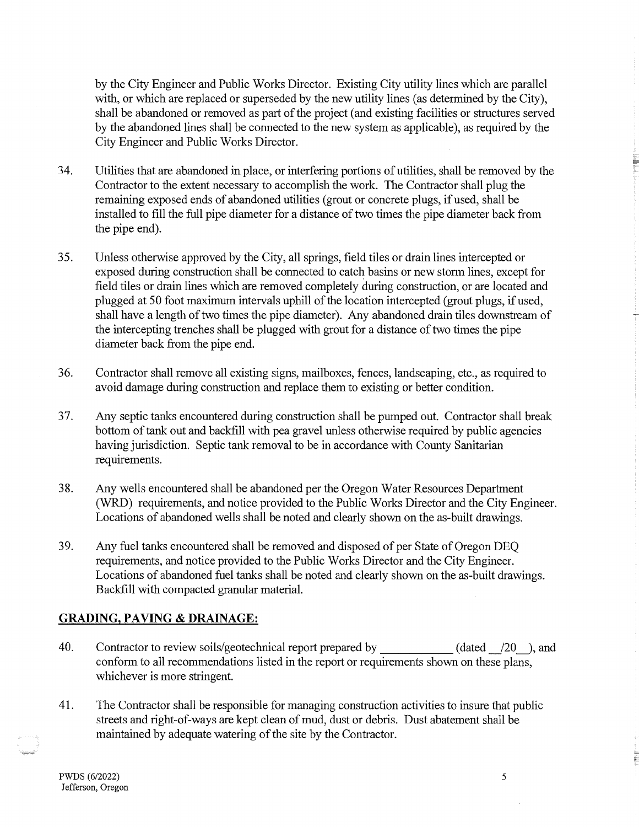by the City Engineer and Public Works Director. Existing City utility lines which are parallel with, or which are replaced or superseded by the new utility lines (as determined by the City), shall be abandoned or removed as part of the project (and existing facilities or structures served by the abandoned lines shall be connected to the new system as applicable), as required by the City Engineer and Public Works Director.

- 34. Utilities that are abandoned in place, or interfering portions of utilities, shall be removed by the Contractor to the extent necessary to accomplish the work. The Contractor shall plug the remaining exposed ends of abandoned utilities (grout or concrete plugs, if used, shall be installed to fill the full pipe diameter for a distance of two times the pipe diameter back from the pipe end).
- 35. Unless otherwise approved by the City, all springs, field tiles or drain lines intercepted or exposed during construction shall be connected to catch basins or new storm lines, except for field tiles or drain lines which are removed completely during construction, or are located and plugged at 50 foot maximum intervals uphill of the location intercepted (grout plugs, if used, shall have a length of two times the pipe diameter). Any abandoned drain tiles downstream of the intercepting trenches shall be plugged with grout for a distance of two times the pipe diameter back from the pipe end.
- 36. Contractor shall remove all existing signs, mailboxes, fences, landscaping, etc., as required to avoid damage during construction and replace them to existing or better condition.
- 3 7. Any septic tanks encountered during construction shall be pumped out. Contractor shall break bottom of tank out and backfill with pea gravel unless otherwise required by public agencies having jurisdiction. Septic tank removal to be in accordance with County Sanitarian requirements.
- 38. Any wells encountered shall be abandoned per the Oregon Water Resources Department (WRD) requirements, and notice provided to the Public Works Director and the City Engineer. Locations of abandoned wells shall be noted and clearly shown on the as-built drawings.
- 39. Any fuel tanks encountered shall be removed and disposed of per State of Oregon DEQ requirements, and notice provided to the Public Works Director and the City Engineer. Locations of abandoned fuel tanks shall be noted and clearly shown on the as-built drawings. Backfill with compacted granular material.

## **GRADING, PAVING & DRAINAGE:**

- 40. Contractor to review soils/geotechnical report prepared by (dated /20 ), and conform to all recommendations listed in the report or requirements shown on these plans, whichever is more stringent.
- 41. The Contractor shall be responsible for managing construction activities to insure that public streets and right-of-ways are kept clean of mud, dust or debris. Dust abatement shall be maintained by adequate watering of the site by the Contractor.

5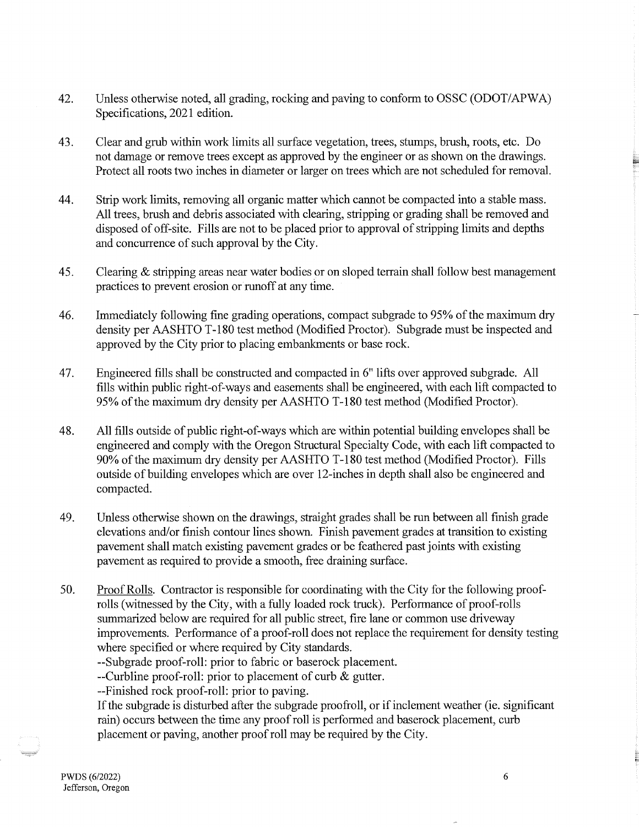- 42. Unless otherwise noted, all grading, rocking and paving to conform to OSSC (ODOT/APWA) Specifications, 2021 edition.
- 43. Clear and grub within work limits all surface vegetation, trees, stumps, brush, roots, etc. Do not damage or remove trees except as approved by the engineer or as shown on the drawings. Protect all roots two inches in diameter or larger on trees which are not scheduled for removal.
- 44. Strip work limits, removing all organic matter which cannot be compacted into a stable mass. All trees, brush and debris associated with clearing, stripping or grading shall be removed and disposed of off-site. Fills are not to be placed prior to approval of stripping limits and depths and concurrence of such approval by the City.
- 45. Clearing & stripping areas near water bodies or on sloped terrain shall follow best management practices to prevent erosion or runoff at any time.
- 46. Immediately following fine grading operations, compact subgrade to 95% of the maximum dry density per AASHTO T-180 test method (Modified Proctor). Subgrade must be inspected and approved by the City prior to placing embankments or base rock.
- 47. Engineered fills shall be constructed and compacted in 6" lifts over approved subgrade. All fills within public right-of-ways and easements shall be engineered, with each lift compacted to 95% of the maximum dry density per AASHTO T-180 test method (Modified Proctor).
- 48. All fills outside of public right-of-ways which are within potential building envelopes shall be engineered and comply with the Oregon Structural Specialty Code, with each lift compacted to 90% of the maximum dry density per AASHTO T-180 test method (Modified Proctor). Fills outside of building envelopes which are over 12-inches in depth shall also be engineered and compacted.
- 49. Unless otherwise shown on the drawings, straight grades shall be run between all finish grade elevations and/or finish contour lines shown. Finish pavement grades at transition to existing pavement shall match existing pavement grades or be feathered past joints with existing pavement as required to provide a smooth, free draining surface.
- 50. Proof Rolls. Contractor is responsible for coordinating with the City for the following proofrolls (witnessed by the City, with a fully loaded rock truck). Performance of proof-rolls summarized below are required for all public street, fire lane or common use driveway improvements. Performance of a proof-roll does not replace the requirement for density testing where specified or where required by City standards.
	- --Subgrade proof-roll: prior to fabric or baserock placement.
	- --Curbline proof-roll: prior to placement of curb  $&$  gutter.

--Finished rock proof-roll: prior to paving.

If the subgrade is disturbed after the subgrade proofroll, or if inclement weather (ie. significant rain) occurs between the time any proof roll is performed and baserock placement, curb placement or paving, another proof roll may be required by the City.

6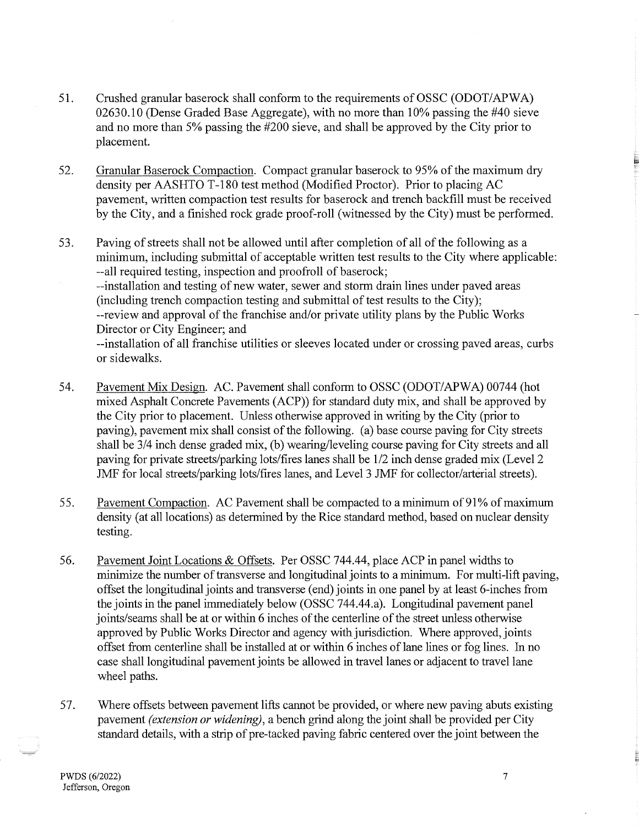- 51. Crushed granular baserock shall conform to the requirements of OSSC (ODOT/APWA) 02630.10 (Dense Graded Base Aggregate), with no more than 10% passing the #40 sieve and no more than 5% passing the #200 sieve, and shall be approved by the City prior to placement.
- 52. Granular Baserock Compaction. Compact granular baserock to 95% of the maximum dry density per AASHTO T-180 test method (Modified Proctor). Prior to placing AC pavement, written compaction test results for baserock and trench backfill must be received by the City, and a finished rock grade proof-roll (witnessed by the City) must be performed.
- 53. Paving of streets shall not be allowed until after completion of all of the following as a minimum, including submittal of acceptable written test results to the City where applicable: --all required testing, inspection and proofroll of baserock; --installation and testing of new water, sewer and storm drain lines under paved areas (including trench compaction testing and submittal of test results to the City); --review and approval of the franchise and/or private utility plans by the Public Works Director or City Engineer; and --installation of all franchise utilities or sleeves located under or crossing paved areas, curbs or sidewalks.
- 54. Pavement Mix Design. AC. Pavement shall conform to OSSC (ODOT/APWA) 00744 (hot mixed Asphalt Concrete Pavements (ACP)) for standard duty mix, and shall be approved by the City prior to placement. Unless otherwise approved in writing by the City (prior to paving), pavement mix shall consist of the following. (a) base course paving for City streets shall be 3/4 inch dense graded mix, (b) wearing/leveling course paving for City streets and all paving for private streets/parking lots/fires lanes shall be 1/2 inch dense graded mix (Level 2 JMF for local streets/parking lots/fires lanes, and Level 3 JMF for collector/arterial streets).
- 55. Pavement Compaction. AC Pavement shall be compacted to a minimum of 91 % of maximum density (at all locations) as determined by the Rice standard method, based on nuclear density testing.
- 56. Pavement Joint Locations & Offsets. Per OSSC 744.44, place ACP in panel widths to minimize the number of transverse and longitudinal joints to a minimum. For multi-lift paving, offset the longitudinal joints and transverse (end) joints in one panel by at least 6-inches from the joints in the panel immediately below (OSSC 744.44.a). Longitudinal pavement panel joints/seams shall be at or within 6 inches of the centerline of the street unless otherwise approved by Public Works Director and agency with jurisdiction. Where approved, joints offset from centerline shall be installed at or within 6 inches of lane lines or fog lines. In no case shall longitudinal pavement joints be allowed in travel lanes or adjacent to travel lane wheel paths.
- 57. Where offsets between pavement lifts cannot be provided, or where new paving abuts existing pavement *(extension or widening),* a bench grind along the joint shall be provided per City standard details, with a strip of pre-tacked paving fabric centered over the joint between the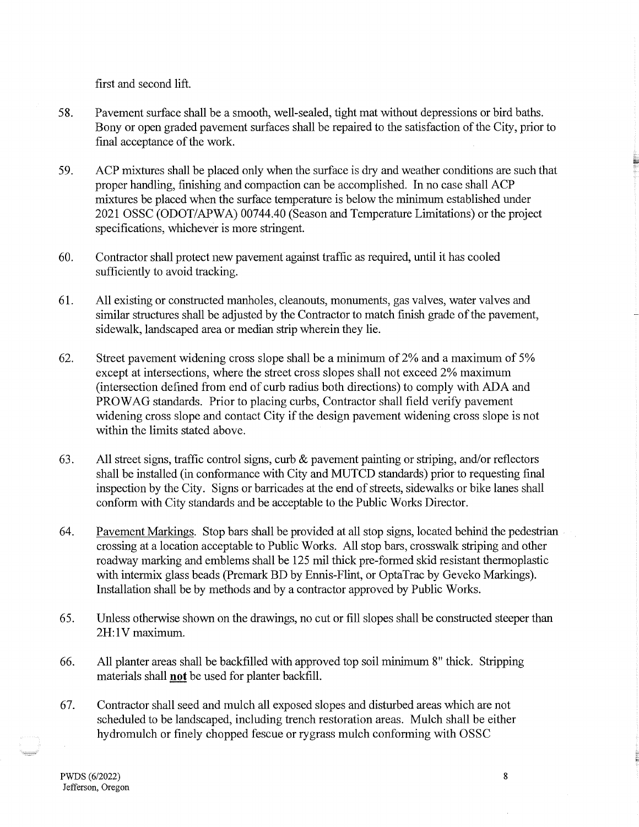first and second lift.

- 58. Pavement surface shall be a smooth, well-sealed, tight mat without depressions or bird baths. Bony or open graded pavement surfaces shall be repaired to the satisfaction of the City, prior to final acceptance of the work.
- 59. ACP mixtures shall be placed only when the surface is dry and weather conditions are such that proper handling, finishing and compaction can be accomplished. In no case shall ACP mixtures be placed when the surface temperature is below the minimum established under 2021 OSSC (ODOT/APWA) 00744.40 (Season and Temperature Limitations) or the project specifications, whichever is more stringent.
- 60. Contractor shall protect new pavement against traffic as required, until it has cooled sufficiently to avoid tracking.
- 61. All existing or constructed manholes, cleanouts, monuments, gas valves, water valves and similar structures shall be adjusted by the Contractor to match finish grade of the pavement, sidewalk, landscaped area or median strip wherein they lie.
- 62. Street pavement widening cross slope shall be a minimum of 2% and a maximum of 5% except at intersections, where the street cross slopes shall not exceed 2% maximum (intersection defined from end of curb radius both directions) to comply with ADA and PROWAG standards. Prior to placing curbs, Contractor shall field verify pavement widening cross slope and contact City if the design pavement widening cross slope is not within the limits stated above.
- 63. All street signs, traffic control signs, curb & pavement painting or striping, and/or reflectors shall be installed (in conformance with City and MUTCD standards) prior to requesting final inspection by the City. Signs or barricades at the end of streets, sidewalks or bike lanes shall conform with City standards and be acceptable to the Public Works Director.
- 64. Pavement Markings. Stop bars shall be provided at all stop signs, located behind the pedestrian crossing at a location acceptable to Public Works. All stop bars, crosswalk striping and other roadway marking and emblems shall be 125 mil thick pre-formed skid resistant thermoplastic with intermix glass beads (Premark BD by Ennis-Flint, or OptaTrac by Geveko Markings). Installation shall be by methods and by a contractor approved by Public Works.
- 65. Unless otherwise shown on the drawings, no cut or fill slopes shall be constructed steeper than 2H:1V maximum.
- 66. All planter areas shall be backfilled with approved top soil minimum 8" thick. Stripping materials shall **not** be used for planter backfill.
- 67. Contractor shall seed and mulch all exposed slopes and disturbed areas which are not scheduled to be landscaped, including trench restoration areas. Mulch shall be either hydromulch or finely chopped fescue or rygrass mulch conforming with OSSC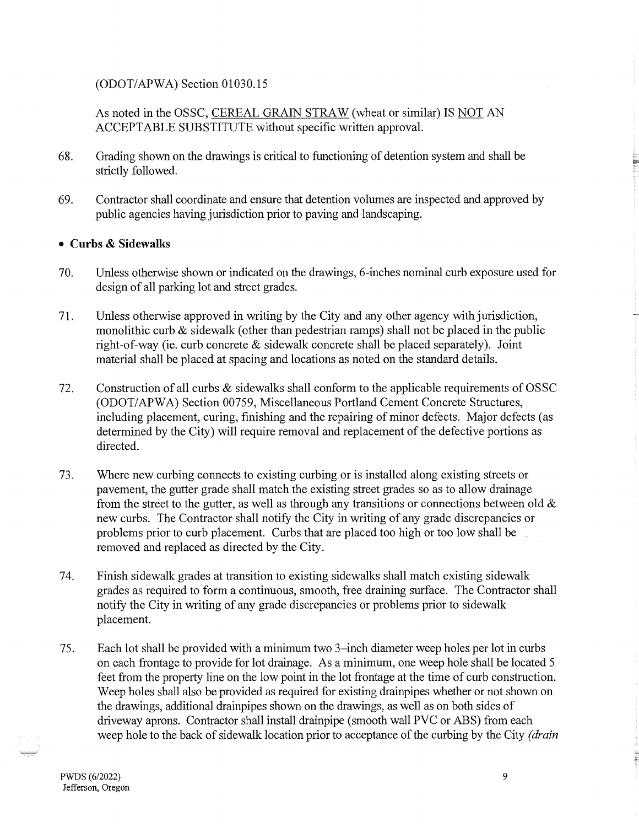(ODOT/APWA) Section 01030.15

As noted in the OSSC, CEREAL GRAIN STRAW (wheat or similar) IS NOT AN ACCEPTABLE SUBSTITUTE without specific written approval.

- 68. Grading shown on the drawings is critical to functioning of detention system and shall be strictly followed.
- 69. Contractor shall coordinate and ensure that detention volumes are inspected and approved by public agencies having jurisdiction prior to paving and landscaping.

# • **Curbs & Sidewalks**

- 70. Unless otherwise shown or indicated on the drawings, 6-inches nominal curb exposure used for design of all parking lot and street grades.
- 71. Unless otherwise approved in writing by the City and any other agency with jurisdiction, monolithic curb  $\&$  sidewalk (other than pedestrian ramps) shall not be placed in the public right-of-way (ie. curb concrete  $\&$  sidewalk concrete shall be placed separately). Joint material shall be placed at spacing and locations as noted on the standard details.
- 72. Construction of all curbs & sidewalks shall conform to the applicable requirements of OSSC (ODOT/APWA) Section 00759, Miscellaneous Portland Cement Concrete Structures, including placement, curing, finishing and the repairing of minor defects. Major defects (as determined by the City) will require removal and replacement of the defective portions as directed.
- 73. Where new curbing connects to existing curbing or is installed along existing streets or pavement, the gutter grade shall match the existing street grades so as to allow drainage from the street to the gutter, as well as through any transitions or connections between old  $\&$ new curbs. The Contractor shall notify the City in writing of any grade discrepancies or problems prior to curb placement. Curbs that are placed too high or too low shall be removed and replaced as directed by the City.
- 74. Finish sidewalk grades at transition to existing sidewalks shall match existing sidewalk grades as required to form a continuous, smooth, free draining surface. The Contractor shall notify the City in writing of any grade discrepancies or problems prior to sidewalk placement.
- 75. Each lot shall be provided with a minimum two 3-inch diameter weep holes per lot in curbs on each frontage to provide for lot drainage. As a minimum, one weep hole shall be located 5 feet from the property line on the low point in the lot frontage at the time of curb construction. Weep holes shall also be provided as required for existing drainpipes whether or not shown on the drawings, additional drainpipes shown on the drawings, as well as on both sides of driveway aprons. Contractor shall install drainpipe (smooth wall PVC or ABS) from each weep hole to the back of sidewalk location prior to acceptance of the curbing by the City *(drain*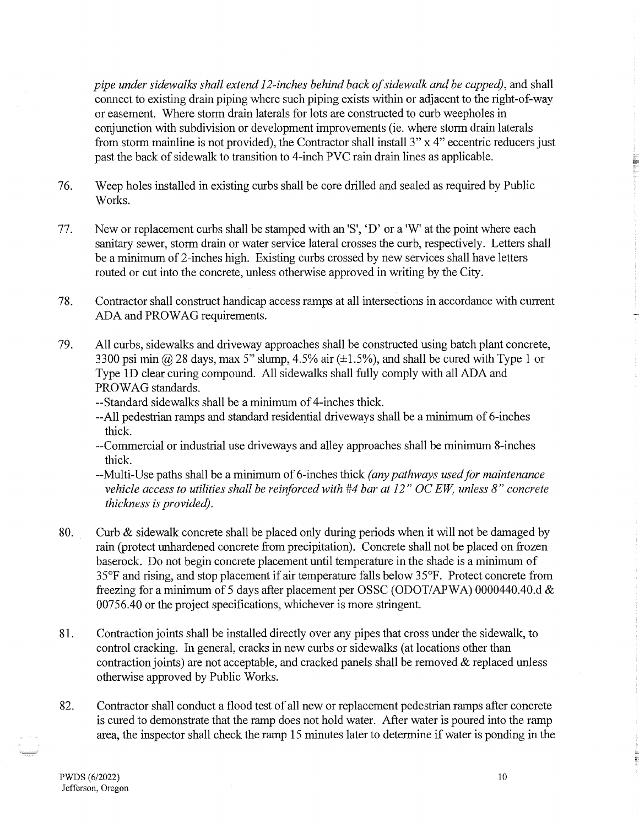*pipe under sidewalks shall extend 12-inches behind back of sidewalk and be capped),* and shall connect to existing drain piping where such piping exists within or adjacent to the right-of-way or easement. Where storm drain laterals for lots are constructed to curb weepholes in conjunction with subdivision or development improvements (ie. where storm drain laterals from storm mainline is not provided), the Contractor shall install 3" x 4" eccentric reducers just past the back of sidewalk to transition to 4-inch PVC rain drain lines as applicable.

- 76. Weep holes installed in existing curbs shall be core drilled and sealed as required by Public Works.
- 77. New or replacement curbs shall be stamped with an 'S', 'D' or a 'W' at the point where each sanitary sewer, storm drain or water service lateral crosses the curb, respectively. Letters shall be a minimum of 2-inches high. Existing curbs crossed by new services shall have letters routed or cut into the concrete, unless otherwise approved in writing by the City.
- 78. Contractor shall construct handicap access ramps at all intersections in accordance with current ADA and PROWAG requirements.
- 79. All curbs, sidewalks and driveway approaches shall be constructed using batch plant concrete, 3300 psi min @ 28 days, max 5" slump, 4.5% air  $(\pm 1.5\%)$ , and shall be cured with Type 1 or Type ID clear curing compound. All sidewalks shall fully comply with all ADA and PROWAG standards.

--Standard sidewalks shall be a minimum of 4-inches thick.

- --All pedestrian ramps and standard residential driveways shall be a minimum of 6-inches thick.
- --Commercial or industrial use driveways and alley approaches shall be minimum 8-inches thick.
- --Multi-Use paths shall be a minimum of 6-inches thick *(any pathways used for maintenance vehicle access to utilities shall be reinforced with #4 bar at 12" OC EW, unless 8" concrete thickness is provided).*
- 80. Curb & sidewalk concrete shall be placed only during periods when it will not be damaged by rain (protect unhardened concrete from precipitation). Concrete shall not be placed on frozen baserock. Do not begin concrete placement until temperature in the shade is a minimum of 35°F and rising, and stop placement if air temperature falls below 35°F. Protect concrete from freezing for a minimum of 5 days after placement per OSSC (ODOT/APWA) 0000440.40.d & 00756.40 or the project specifications, whichever is more stringent.
- 81. Contraction joints shall be installed directly over any pipes that cross under the sidewalk, to control cracking. In general, cracks in new curbs or sidewalks (at locations other than contraction joints) are not acceptable, and cracked panels shall be removed  $\&$  replaced unless otherwise approved by Public Works.
- 82. Contractor shall conduct a flood test of all new or replacement pedestrian ramps after concrete is cured to demonstrate that the ramp does not hold water. After water is poured into the ramp area, the inspector shall check the ramp 15 minutes later to determine if water is ponding in the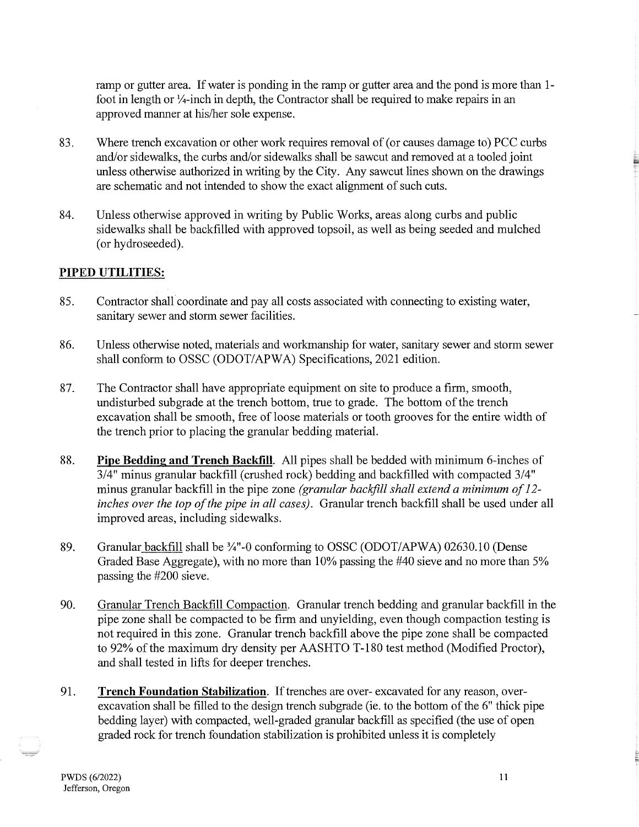ramp or gutter area. If water is ponding in the ramp or gutter area and the pond is more than 1 foot in length or  $\frac{1}{4}$ -inch in depth, the Contractor shall be required to make repairs in an approved manner at his/her sole expense.

- 83. Where trench excavation or other work requires removal of (or causes damage to) PCC curbs and/or sidewalks, the curbs and/or sidewalks shall be sawcut and removed at a tooled joint unless otherwise authorized in writing by the City. Any sawcut lines shown on the drawings are schematic and not intended to show the exact alignment of such cuts.
- 84. Unless otherwise approved in writing by Public Works, areas along curbs and public sidewalks shall be backfilled with approved topsoil, as well as being seeded and mulched (or hydroseeded).

# **PIPED UTILITIES:**

- 85. Contractor shall.coordinate and pay all costs associated with connecting to existing water, sanitary sewer and storm sewer facilities.
- 86. Unless otherwise noted, materials and workmanship for water, sanitary sewer and storm sewer shall conform to OSSC (ODOT/APWA) Specifications, 2021 edition.
- 87. The Contractor shall have appropriate equipment on site to produce a firm, smooth, undisturbed subgrade at the trench bottom, true to grade. The bottom of the trench excavation shall be smooth, free of loose materials or tooth grooves for the entire width of the trench prior to placing the granular bedding material.
- 88. **Pipe Bedding and Trench Backfill.** All pipes shall be bedded with minimum 6-inches of 3/4" minus granular backfill (crushed rock) bedding and backfilled with compacted 3/4" minus granular backfill in the pipe zone *(granular backfill shall extend a minimum of 12 inches over the top of the pipe in all cases).* Granular trench backfill shall be used under all improved areas, including sidewalks.
- 89. Granular backfill shall be %"-0 conforming to OSSC (ODOT/APWA) 02630.10 (Dense Graded Base Aggregate), with no more than 10% passing the #40 sieve and no more than 5% passing the #200 sieve.
- 90. Granular Trench Backfill Compaction. Granular trench bedding and granular backfill in the pipe zone shall be compacted to be firm and unyielding, even though compaction testing is not required in this zone. Granular trench backfill above the pipe zone shall be compacted to 92% of the maximum dry density per AASHTO T-180 test method (Modified Proctor), and shall tested in lifts for deeper trenches.
- 91. **Trench Foundation Stabilization.** If trenches are over- excavated for any reason, overexcavation shall be filled to the design trench subgrade (ie. to the bottom of the 6" thick pipe bedding layer) with compacted, well-graded granular backfill as specified (the use of open graded rock for trench foundation stabilization is prohibited unless it is completely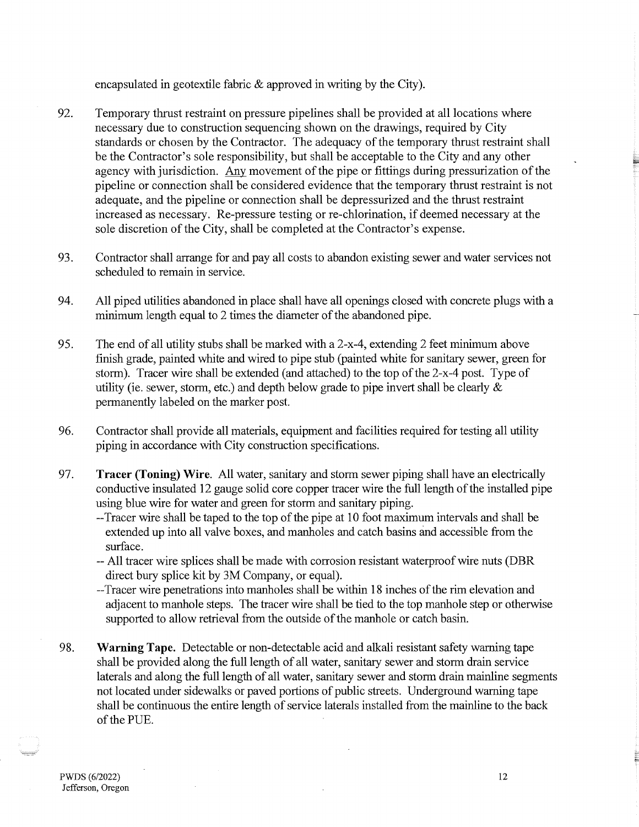encapsulated in geotextile fabric & approved in writing by the City).

- 92. Temporary thrust restraint on pressure pipelines shall be provided at all locations where necessary due to construction sequencing shown on the drawings, required by City standards or chosen by the Contractor. The adequacy of the temporary thrust restraint shall be the Contractor's sole responsibility, but shall be acceptable to the City and any other agency with jurisdiction. Any movement of the pipe or fittings during pressurization of the pipeline or connection shall be considered evidence that the temporary thrust restraint is not adequate, and the pipeline or connection shall be depressurized and the thrust restraint increased as necessary. Re-pressure testing or re-chlorination, if deemed necessary at the sole discretion of the City, shall be completed at the Contractor's expense.
- 93. Contractor shall arrange for and pay all costs to abandon existing sewer and water services not scheduled to remain in service.
- 94. All piped utilities abandoned in place shall have all openings closed with concrete plugs with a minimum length equal to 2 times the diameter of the abandoned pipe.
- 95. The end of all utility stubs shall be marked with a 2-x-4, extending 2 feet minimum above finish grade, painted white and wired to pipe stub (painted white for sanitary sewer, green for storm). Tracer wire shall be extended (and attached) to the top of the 2-x-4 post. Type of utility (ie. sewer, storm, etc.) and depth below grade to pipe invert shall be clearly  $\&$ permanently labeled on the marker post.
- 96. Contractor shall provide all materials, equipment and facilities required for testing all utility piping in accordance with City construction specifications.
- 97. **Tracer (Toning) Wire.** All water, sanitary and storm sewer piping shall have an electrically conductive insulated 12 gauge solid core copper tracer wire the full length of the installed pipe using blue wire for water and green for storm and sanitary piping.
	- --Tracer wire shall be taped to the top of the pipe at 10 foot maximum intervals and shall be extended up into all valve boxes, and manholes and catch basins and accessible from the surface.
	- -- All tracer wire splices shall be made with corrosion resistant waterproof wire nuts (DBR direct bury splice kit by 3M Company, or equal).
	- --Tracer wire penetrations into manholes shall be within 18 inches of the rim elevation and adjacent to manhole steps. The tracer wire shall be tied to the top manhole step or otherwise supported to allow retrieval from the outside of the manhole or catch basin.
- 98. **Warning Tape.** Detectable or non-detectable acid and alkali resistant safety warning tape shall be provided along the full length of all water, sanitary sewer and storm drain service laterals and along the full length of all water, sanitary sewer and storm drain mainline segments not located under sidewalks or paved portions of public streets. Underground warning tape shall be continuous the entire length of service laterals installed from the mainline to the back of the PUE.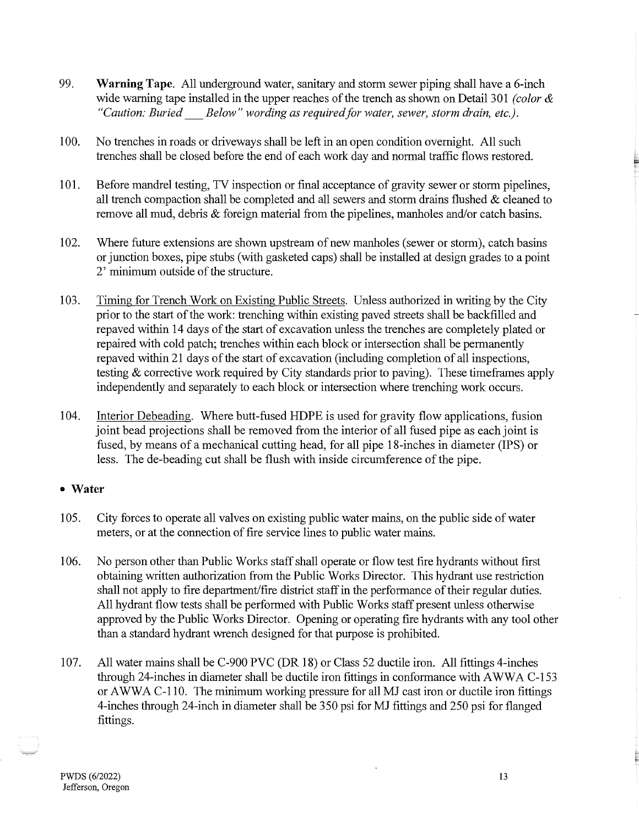- 99. **Warning Tape.** All underground water, sanitary and storm sewer piping shall have a 6-inch wide warning tape installed in the upper reaches of the trench as shown on Detail 301 *(color* & *"Caution: Buried\_ Below" wording as required for water, sewer, storm drain, etc.).*
- 100. No trenches in roads or driveways shall be left in an open condition overnight. All such trenches shall be closed before the end of each work day and normal traffic flows restored.
- 101. Before mandrel testing, TV inspection or final acceptance of gravity sewer or storm pipelines, all trench compaction shall be completed and all sewers and storm drains flushed  $\&$  cleaned to remove all mud, debris & foreign material from the pipelines, manholes and/or catch basins.
- 102. Where future extensions are shown upstream of new manholes (sewer or storm), catch basins or junction boxes, pipe stubs (with gasketed caps) shall be installed at design grades to a point 2' minimum outside of the structure.
- 103. Timing for Trench Work on Existing Public Streets. Unless authorized in writing by the City prior to the start of the work: trenching within existing paved streets shall be backfilled and repaved within 14 days of the start of excavation unless the trenches are completely plated or repaired with cold patch; trenches within each block or intersection shall be permanently repaved within 21 days of the start of excavation (including completion of all inspections, testing & corrective work required by City standards prior to paving). These timeframes apply independently and separately to each block or intersection where trenching work occurs.
- 104. Interior Debeading. Where butt-fused HDPE is used for gravity flow applications, fusion joint bead projections shall be removed from the interior of all fused pipe as each joint is fused, by means of a mechanical cutting head, for all pipe 18-inches in diameter (IPS) or less. The de-beading cut shall be flush with inside circumference of the pipe.

### **•Water**

- 105. City forces to operate all valves on existing public water mains, on the public side of water meters, or at the connection of fire service lines to public water mains.
- 106. No person other than Public Works staff shall operate or flow test fire hydrants without first obtaining written authorization from the Public Works Director. This hydrant use restriction shall not apply to fire department/fire district staff in the performance of their regular duties. All hydrant flow tests shall be performed with Public Works staff present unless otherwise approved by the Public Works Director. Opening or operating fire hydrants with any tool other than a standard hydrant wrench designed for that purpose is prohibited.
- 107. All water mains shall be C-900 PVC (DR 18) or Class 52 ductile iron. All fittings 4-inches through 24-inches in diameter shall be ductile iron fittings in conformance with AWWA C-153 or AWWA C-110. The minimum working pressure for all MJ cast iron or ductile iron fittings 4-inches through 24-inch in diameter shall be 350 psi for MJ fittings and 250 psi for flanged fittings.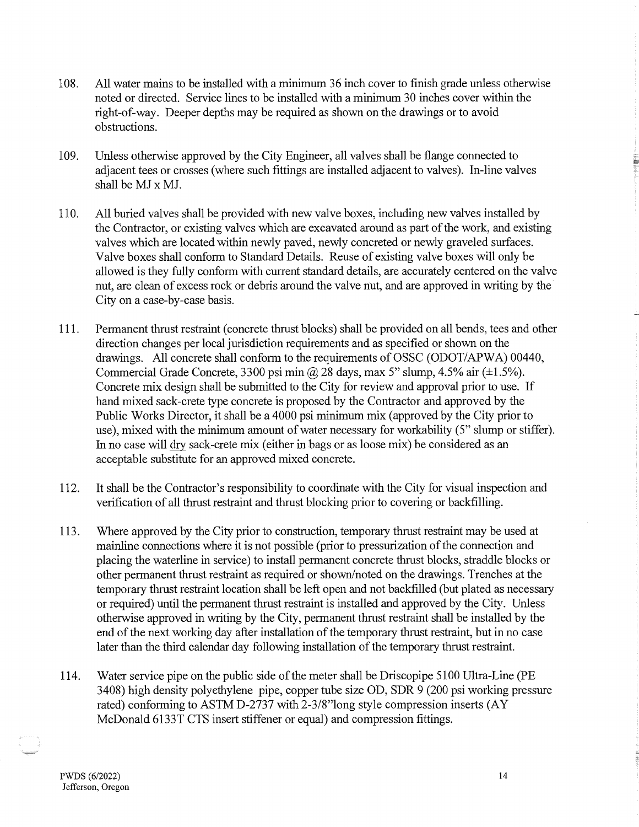- 108. All water mains to be installed with a minimum 36 inch cover to finish grade unless otherwise noted or directed. Service lines to be installed with a minimum 30 inches cover within the right-of-way. Deeper depths may be required as shown on the drawings or to avoid obstructions.
- 109. Unless otherwise approved by the City Engineer, all valves shall be flange connected to adjacent tees or crosses (where such fittings are installed adjacent to valves). In-line valves shall be MJ x MJ.
- 110. All buried valves shall be provided with new valve boxes, including new valves installed by the Contractor, or existing valves which are excavated around as part of the work, and existing valves which are located within newly paved, newly concreted or newly graveled surfaces. Valve boxes shall conform to Standard Details. Reuse of existing valve boxes will only be allowed is they fully conform with current standard details, are accurately centered on the valve nut, are clean of excess rock or debris around the valve nut, and are approved in writing by the City on a case-by-case basis.
- 111. Permanent thrust restraint (concrete thrust blocks) shall be provided on all bends, tees and other direction changes per local jurisdiction requirements and as specified or shown on the drawings. All concrete shall conform to the requirements of OSSC (ODOT/APWA) 00440, Commercial Grade Concrete, 3300 psi min @ 28 days, max 5" slump, 4.5% air  $(\pm 1.5\%)$ . Concrete mix design shall be submitted to the City for review and approval prior to use. If hand mixed sack-crete type concrete is proposed by the Contractor and approved by the Public Works Director, it shall be a 4000 psi minimum mix (approved by the City prior to use), mixed with the minimum amount of water necessary for workability (5" slump or stiffer). In no case will dry sack-crete mix (either in bags or as loose mix) be considered as an acceptable substitute for an approved mixed concrete.
- 112. It shall be the Contractor's responsibility to coordinate with the City for visual inspection and verification of all thrust restraint and thrust blocking prior to covering or backfilling.
- 113. Where approved by the City prior to construction, temporary thrust restraint may be used at mainline connections where it is not possible (prior to pressurization of the connection and placing the waterline in service) to install permanent concrete thrust blocks, straddle blocks or other permanent thrust restraint as required or shown/noted on the drawings. Trenches at the temporary thrust restraint location shall be left open and not backfilled (but plated as necessary or required) until the permanent thrust restraint is installed and approved by the City. Unless otherwise approved in writing by the City, permanent thrust restraint shall be installed by the end of the next working day after installation of the temporary thrust restraint, but in no case later than the third calendar day following installation of the temporary thrust restraint.
- 114. Water service pipe on the public side of the meter shall be Driscopipe 5100 Ultra-Line (PE 3408) high density polyethylene pipe, copper tube size OD, SDR 9 (200 psi working pressure rated) conforming to ASTM D-2737 with 2-3/8"long style compression inserts (AY McDonald 6133T CTS insert stiffener or equal) and compression fittings.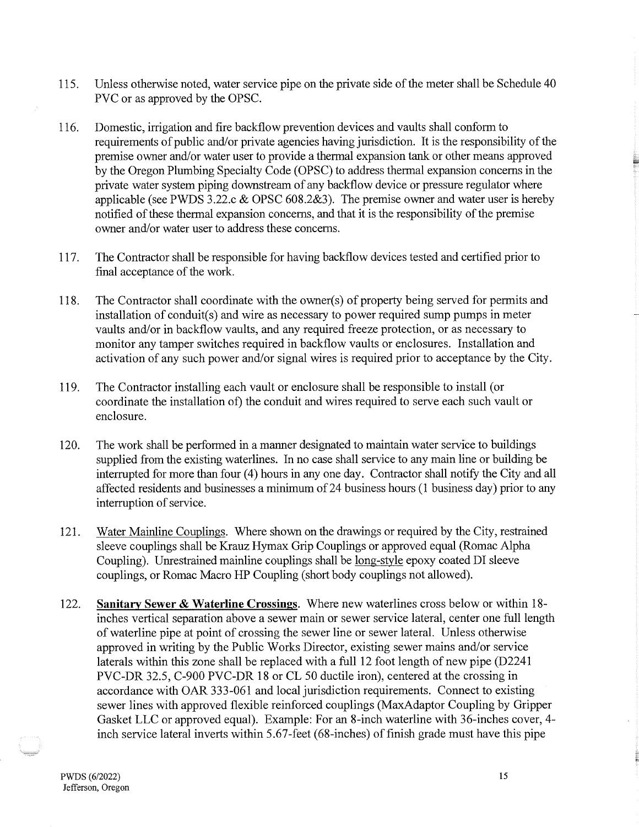- 115. Unless otherwise noted, water service pipe on the private side of the meter shall be Schedule 40 PVC or as approved by the OPSC.
- 116. Domestic, irrigation and fire backflow prevention devices and vaults shall conform to requirements of public and/or private agencies having jurisdiction. It is the responsibility of the premise owner and/or water user to provide a thermal expansion tank or other means approved by the Oregon Plumbing Specialty Code (OPSC) to address thermal expansion concerns in the private water system piping downstream of any backflow device or pressure regulator where applicable (see PWDS  $3.22$ .c & OPSC  $608.2$ & $3)$ ). The premise owner and water user is hereby notified of these thermal expansion concerns, and that it is the responsibility of the premise owner and/or water user to address these concerns.
- 117. The Contractor shall be responsible for having backflow devices tested and certified prior to final acceptance of the work.
- 118. The Contractor shall coordinate with the owner(s) of property being served for permits and installation of conduit(s) and wire as necessary to power required sump pumps in meter vaults and/or in backflow vaults, and any required freeze protection, or as necessary to monitor any tamper switches required in backflow vaults or enclosures. Installation and activation of any such power and/or signal wires is required prior to acceptance by the City.
- 119. The Contractor installing each vault or enclosure shall be responsible to install (or coordinate the installation of) the conduit and wires required to serve each such vault or enclosure.
- 120. The work shall be performed in a manner designated to maintain water service to buildings supplied from the existing waterlines. In no case shall service to any main line or building be interrupted for more than four (4) hours in any one day. Contractor shall notify the City and all affected residents and businesses a minimum of 24 business hours (1 business day) prior to any interruption of service.
- 121. Water Mainline Couplings. Where shown on the drawings or required by the City, restrained sleeve couplings shall be Krauz Hymax Grip Couplings or approved equal (Romac Alpha Coupling). Unrestrained mainline couplings shall be long-style epoxy coated DI sleeve couplings, or Romac Macro HP Coupling (short body couplings not allowed).
- 122. **Sanitary Sewer & Waterline Crossings.** Where new waterlines cross below or within 18 inches vertical separation above a sewer main or sewer service lateral, center one full length of waterline pipe at point of crossing the sewer line or sewer lateral. Unless otherwise approved in writing by the Public Works Director, existing sewer mains and/or service laterals within this zone shall be replaced with a full 12 foot length of new pipe (D2241 PVC-DR 32.5, C-900 PVC-DR 18 or CL 50 ductile iron), centered at the crossing in accordance with OAR 333-061 and local jurisdiction requirements. Connect to existing sewer lines with approved flexible reinforced couplings (MaxAdaptor Coupling by Gripper Gasket LLC or approved equal). Example: For an 8-inch waterline with 36-inches cover, 4 inch service lateral inverts within 5.67-feet (68-inches) of finish grade must have this pipe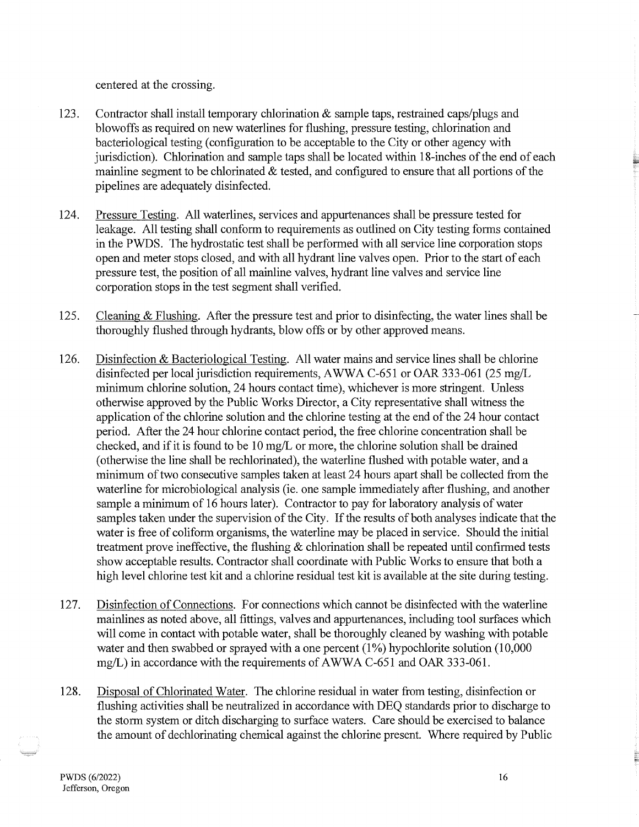centered at the crossing.

- 123. Contractor shall install temporary chlorination & sample taps, restrained caps/plugs and blowoffs as required on new waterlines for flushing, pressure testing, chlorination and bacteriological testing (configuration to be acceptable to the City or other agency with jurisdiction). Chlorination and sample taps shall be located within 18-inches of the end of each mainline segment to be chlorinated  $\&$  tested, and configured to ensure that all portions of the pipelines are adequately disinfected.
- 124. Pressure Testing. All waterlines, services and appurtenances shall be pressure tested for leakage. All testing shall conform to requirements as outlined on City testing forms contained in the PWDS. The hydrostatic test shall be performed with all service line corporation stops open and meter stops closed, and with all hydrant line valves open. Prior to the start of each pressure test, the position of all mainline valves, hydrant line valves and service line corporation stops in the test segment shall verified.
- 125. Cleaning & Flushing. After the pressure test and prior to disinfecting, the water lines shall be thoroughly flushed through hydrants, blow offs or by other approved means.
- 126. Disinfection & Bacteriological Testing. All water mains and service lines shall be chlorine disinfected per local jurisdiction requirements, A WWA C-651 or OAR 333-061 (25 mg/L minimum chlorine solution, 24 hours contact time), whichever is more stringent. Unless otherwise approved by the Public Works Director, a City representative shall witness the application of the chlorine solution and the chlorine testing at the end of the 24 hour contact period. After the 24 hour chlorine contact period, the free chlorine concentration shall be checked, and if it is found to be 10 mg/L or more, the chlorine solution shall be drained (otherwise the line shall be rechlorinated), the waterline flushed with potable water, and a minimum of two consecutive samples taken at least 24 hours apart shall be collected from the waterline for microbiological analysis (ie. one sample immediately after flushing, and another sample a minimum of 16 hours later). Contractor to pay for laboratory analysis of water samples taken under the supervision of the City. If the results of both analyses indicate that the water is free of coliform organisms, the waterline may be placed in service. Should the initial treatment prove ineffective, the flushing  $\&$  chlorination shall be repeated until confirmed tests show acceptable results. Contractor shall coordinate with Public Works to ensure that both a high level chlorine test kit and a chlorine residual test kit is available at the site during testing.
- 127. Disinfection of Connections. For connections which cannot be disinfected with the waterline mainlines as noted above, all fittings, valves and appurtenances, including tool surfaces which will come in contact with potable water, shall be thoroughly cleaned by washing with potable water and then swabbed or sprayed with a one percent  $(1%)$  hypochlorite solution  $(10,000)$ mg/L) in accordance with the requirements of AWWA C-651 and OAR 333-061.
- 128. Disposal of Chlorinated Water. The chlorine residual in water from testing, disinfection or flushing activities shall be neutralized in accordance with DEQ standards prior to discharge to the storm system or ditch discharging to surface waters. Care should be exercised to balance the amount of dechlorinating chemical against the chlorine present. Where required by Public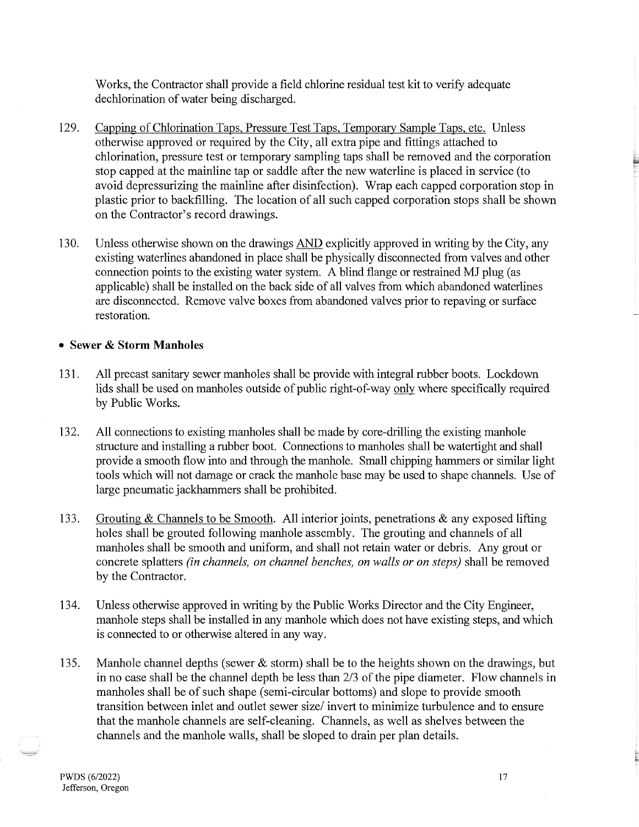Works, the Contractor shall provide a field chlorine residual test kit to verify adequate dechlorination of water being discharged.

- 129. Capping of Chlorination Taps, Pressure Test Taps, Temporary Sample Taps, etc. Unless otherwise approved or required by the City, all extra pipe and fittings attached to chlorination, pressure test or temporary sampling taps shall be removed and the corporation stop capped at the mainline tap or saddle after the new waterline is placed in service (to avoid depressurizing the mainline after disinfection). Wrap each capped corporation stop in plastic prior to backfilling. The location of all such capped corporation stops shall be shown on the Contractor's record drawings.
- 130. Unless otherwise shown on the drawings AND explicitly approved in writing by the City, any existing waterlines abandoned in place shall be physically disconnected from valves and other connection points to the existing water system. A blind flange or restrained MJ plug (as applicable) shall be installed on the back side of all valves from which abandoned waterlines are disconnected. Remove valve boxes from abandoned valves prior to repaving or surface restoration.

## • **Sewer & Storm Manholes**

- 131. All precast sanitary sewer manholes shall be provide with integral rubber boots. Lockdown lids shall be used on manholes outside of public right-of-way only where specifically required by Public Works.
- 132. All connections to existing manholes shall be made by core-drilling the existing manhole structure and installing a rubber boot. Connections to manholes shall be watertight and shall provide a smooth flow into and through the manhole. Small chipping hammers or similar light tools which will not damage or crack the manhole base may be used to shape channels. Use of large pneumatic jackhammers shall be prohibited.
- 133. Grouting & Channels to be Smooth. All interior joints, penetrations & any exposed lifting holes shall be grouted following manhole assembly. The grouting and channels of all manholes shall be smooth and uniform, and shall not retain water or debris. Any grout or concrete splatters *(in channels, on channel benches, on walls or on steps)* shall be removed by the Contractor.
- 134. Unless otherwise approved in writing by the Public Works Director and the City Engineer, manhole steps shall be installed in any manhole which does not have existing steps, and which is connected to or otherwise altered in any way.
- 135. Manhole channel depths (sewer  $\&$  storm) shall be to the heights shown on the drawings, but in no case shall be the channel depth be less than 2/3 of the pipe diameter. Flow channels in manholes shall be of such shape (semi-circular bottoms) and slope to provide smooth transition between inlet and outlet sewer size/ invert to minimize turbulence and to ensure that the manhole channels are self-cleaning. Channels, as well as shelves between the channels and the manhole walls, shall be sloped to drain per plan details.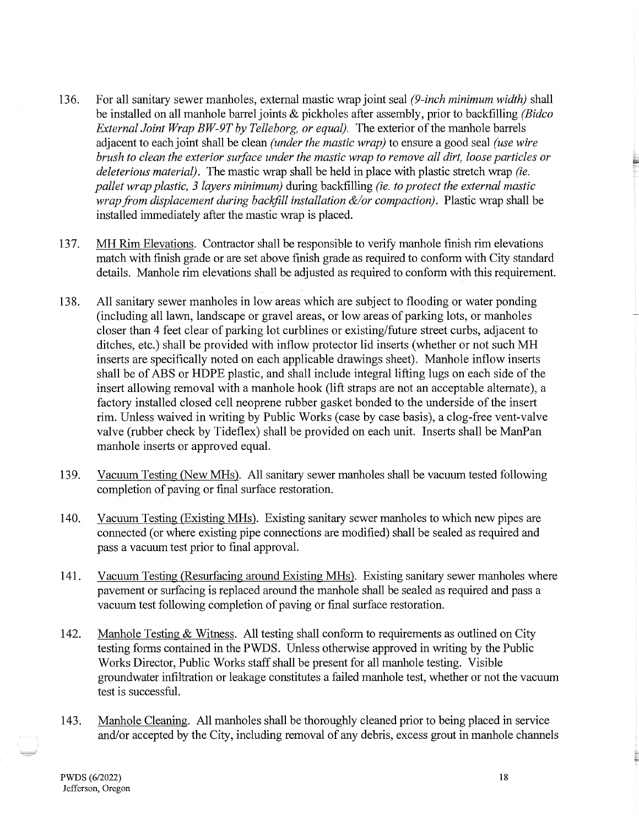- 136. For all sanitary sewer manholes, external mastic wrap joint seal *(9-inch minimum width)* shall be installed on all manhole barrel joints & pickholes after assembly, prior to backfilling *(Bidco External Joint Wrap BW-9T by Telleborg, or equal).* The exterior of the manhole barrels adjacent to each joint shall be clean *(under the mastic wrap)* to ensure a good seal *(use wire brush to clean the exterior swface under the mastic wrap to remove all dirt, loose particles or deleterious material).* The mastic wrap shall be held in place with plastic stretch wrap *(ie. pallet wrap plastic, 3 layers minimum)* during backfilling *(ie. to protect the external mastic wrap from displacement during backfill installation &/or compaction).* Plastic wrap shall be installed immediately after the mastic wrap is placed.
- 137. MH Rim Elevations. Contractor shall be responsible to verify manhole finish rim elevations match with finish grade or are set above finish grade as required to conform with City standard details. Manhole rim elevations shall be adjusted as required to conform with this requirement.
- 138. All sanitary sewer manholes in low areas which are subject to flooding or water ponding (including all lawn, landscape or gravel areas, or low areas of parking lots, or manholes closer than 4 feet clear of parking lot curblines or existing/future street curbs, adjacent to ditches, etc.) shall be provided with inflow protector lid inserts (whether or not such MH inserts are specifically noted on each applicable drawings sheet). Manhole inflow inserts shall be of ABS or HDPE plastic, and shall include integral lifting lugs on each side of the insert allowing removal with a manhole hook (lift straps are not an acceptable alternate), a factory installed closed cell neoprene rubber gasket bonded to the underside of the insert rim. Unless waived in writing by Public Works (case by case basis), a clog-free vent-valve valve (rubber check by Tideflex) shall be provided on each unit. Inserts shall be ManPan manhole inserts or approved equal.
- 139. Vacuum Testing (New MHs). All sanitary sewer manholes shall be vacuum tested following completion of paving or final surface restoration.
- 140. Vacuum Testing (Existing MHs). Existing sanitary sewer manholes to which new pipes are connected (or where existing pipe connections are modified) shall be sealed as required and pass a vacuum test prior to final approval.
- 141. Vacuum Testing (Resurfacing around Existing MHs). Existing sanitary sewer manholes where pavement or surfacing is replaced around the manhole shall be sealed as required and pass a vacuum test following completion of paving or final surface restoration.
- 142. Manhole Testing & Witness. All testing shall conform to requirements as outlined on City testing forms contained in the PWDS. Unless otherwise approved in writing by the Public Works Director, Public Works staff shall be present for all manhole testing. Visible groundwater infiltration or leakage constitutes a failed manhole test, whether or not the vacuum test is successful.
- 143. Manhole Cleaning. All manholes shall be thoroughly cleaned prior to being placed in service and/or accepted by the City, including removal of any debris, excess grout in manhole channels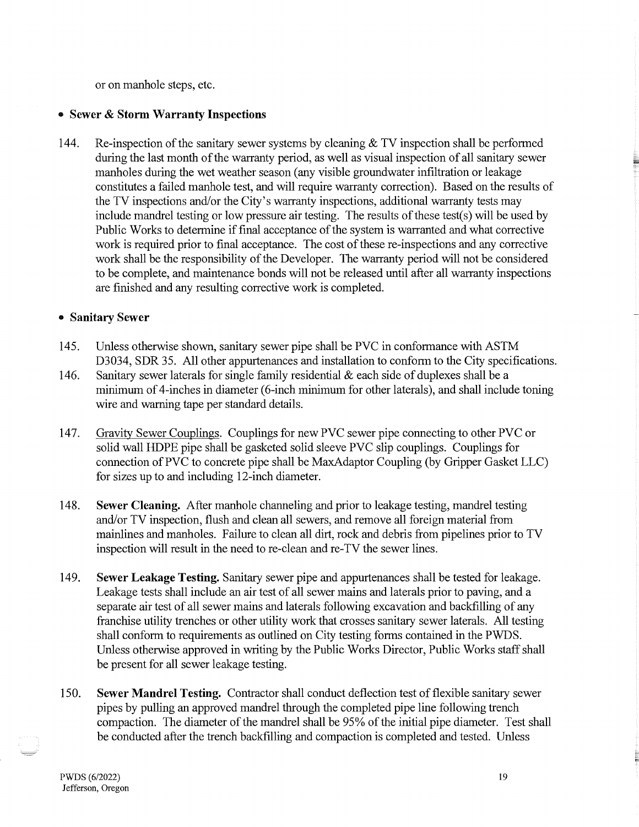or on manhole steps, etc.

# • **Sewer & Storm Warranty Inspections**

144. Re-inspection of the sanitary sewer systems by cleaning & TV inspection shall be performed during the last month of the warranty period, as well as visual inspection of all sanitary sewer manholes during the wet weather season (any visible groundwater infiltration or leakage constitutes a failed manhole test, and will require warranty correction). Based on the results of the TV inspections and/or the City's warranty inspections, additional warranty tests may include mandrel testing or low pressure air testing. The results of these test(s) will be used by Public Works to determine if final acceptance of the system is warranted and what corrective work is required prior to final acceptance. The cost of these re-inspections and any corrective work shall be the responsibility of the Developer. The warranty period will not be considered to be complete, and maintenance bonds will not be released until after all warranty inspections are finished and any resulting corrective work is completed.

# • **Sanitary Sewer**

- 145. Unless otherwise shown, sanitary sewer pipe shall be PVC in conformance with ASTM D3034, SDR 35. All other appurtenances and installation to conform to the City specifications.
- 146. Sanitary sewer laterals for single family residential  $\&$  each side of duplexes shall be a minimum of 4-inches in diameter (6-inch minimum for other laterals), and shall include toning wire and warning tape per standard details.
- 147. Gravity Sewer Couplings. Couplings for new PVC sewer pipe connecting to other PVC or solid wall HDPE pipe shall be gasketed solid sleeve PVC slip couplings. Couplings for connection of PVC to concrete pipe shall be MaxAdaptor Coupling (by Gripper Gasket LLC) for sizes up to and including 12-inch diameter.
- 148. **Sewer Cleaning.** After manhole channeling and prior to leakage testing, mandrel testing and/or TV inspection, flush and clean all sewers, and remove all foreign material from mainlines and manholes. Failure to clean all dirt, rock and debris from pipelines prior to TV inspection will result in the need to re-clean and re-TV the sewer lines.
- 149. **Sewer Leakage Testing.** Sanitary sewer pipe and appurtenances shall be tested for leakage. Leakage tests shall include an air test of all sewer mains and laterals prior to paving, and a separate air test of all sewer mains and laterals following excavation and backfilling of any franchise utility trenches or other utility work that crosses sanitary sewer laterals. All testing shall conform to requirements as outlined on City testing forms contained in the PWDS. Unless otherwise approved in writing by the Public Works Director, Public Works staff shall be present for all sewer leakage testing.
- 150. **Sewer Mandrel Testing.** Contractor shall conduct deflection test of flexible sanitary sewer pipes by pulling an approved mandrel through the completed pipe line following trench compaction. The diameter of the mandrel shall be 95% of the initial pipe diameter. Test shall be conducted after the trench backfilling and compaction is completed and tested. Unless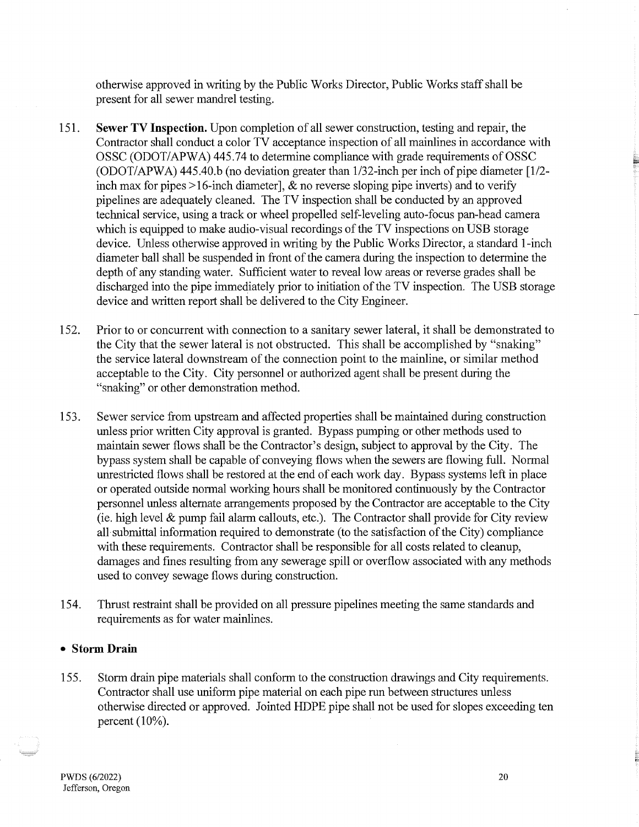otherwise approved in writing by the Public Works Director, Public Works staff shall be present for all sewer mandrel testing.

- 151. **Sewer TV Inspection.** Upon completion of all sewer construction, testing and repair, the Contractor shall conduct a color TV acceptance inspection of all mainlines in accordance with OSSC (ODOT/APWA) 445.74 to determine compliance with grade requirements of OSSC  $(ODOT/APWA)$  445.40.b (no deviation greater than 1/32-inch per inch of pipe diameter [1/2inch max for pipes > 16-inch diameter],  $\&$  no reverse sloping pipe inverts) and to verify pipelines are adequately cleaned. The TV inspection shall be conducted by an approved technical service, using a track or wheel propelled self-leveling auto-focus pan-head camera which is equipped to make audio-visual recordings of the TV inspections on USB storage device. Unless otherwise approved in writing by the Public Works Director, a standard 1-inch diameter ball shall be suspended in front of the camera during the inspection to determine the depth of any standing water. Sufficient water to reveal low areas or reverse grades shall be discharged into the pipe immediately prior to initiation of the TV inspection. The USB storage device and written report shall be delivered to the City Engineer.
- 152. Prior to or concurrent with connection to a sanitary sewer lateral, it shall be demonstrated to the City that the sewer lateral is not obstructed. This shall be accomplished by "snaking" the service lateral downstream of the connection point to the mainline, or similar method acceptable to the City. City personnel or authorized agent shall be present during the "snaking" or other demonstration method.
- 153. Sewer service from upstream and affected properties shall be maintained during construction unless prior written City approval is granted. Bypass pumping or other methods used to maintain sewer flows shall be the Contractor's design, subject to approval by the City. The bypass system shall be capable of conveying flows when the sewers are flowing full. Normal unrestricted flows shall be restored at the end of each work day. Bypass systems left in place or operated outside normal working hours shall be monitored continuously by the Contractor personnel unless alternate arrangements proposed by the Contractor are acceptable to the City (ie. high level  $&$  pump fail alarm callouts, etc.). The Contractor shall provide for City review all submittal information required to demonstrate (to the satisfaction of the City) compliance with these requirements. Contractor shall be responsible for all costs related to cleanup, damages and fines resulting from any sewerage spill or overflow associated with any methods used to convey sewage flows during construction.
- 154. Thrust restraint shall be provided on all pressure pipelines meeting the same standards and requirements as for water mainlines.

### • **Storm Drain**

155. Storm drain pipe materials shall conform to the construction drawings and City requirements. Contractor shall use uniform pipe material on each pipe run between structures unless otherwise directed or approved. Jointed HDPE pipe shall not be used for slopes exceeding ten percent  $(10\%)$ .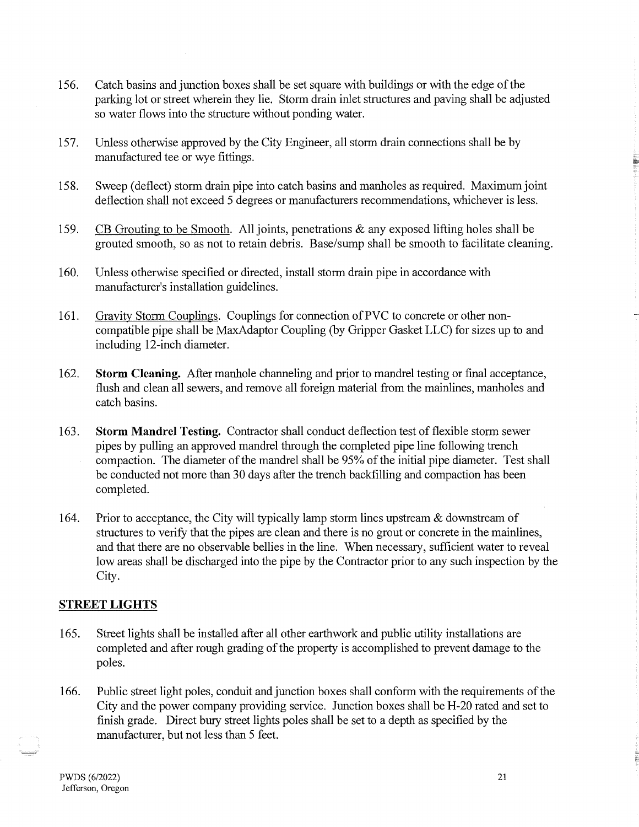- 156. Catch basins and junction boxes shall be set square with buildings or with the edge of the parking lot or street wherein they lie. Storm drain inlet structures and paving shall be adjusted so water flows into the structure without ponding water.
- 157. Unless otherwise approved by the City Engineer, all storm drain connections shall be by manufactured tee or wye fittings.
- 158. Sweep (deflect) storm drain pipe into catch basins and manholes as required. Maximum joint deflection shall not exceed 5 degrees or manufacturers recommendations, whichever is less.
- 159. CB Grouting to be Smooth. All joints, penetrations & any exposed lifting holes shall be grouted smooth, so as not to retain debris. Base/sump shall be smooth to facilitate cleaning.
- 160. Unless otherwise specified or directed, install storm drain pipe in accordance with manufacturer's installation guidelines.
- 161. Gravity Storm Couplings. Couplings for connection of PVC to concrete or other noncompatible pipe shall be MaxAdaptor Coupling (by Gripper Gasket LLC) for sizes up to and including 12-inch diameter.
- 162. **Storm Cleaning.** After manhole channeling and prior to mandrel testing or final acceptance, flush and clean all sewers, and remove all foreign material from the mainlines, manholes and catch basins.
- 163. **Storm Mandrel Testing.** Contractor shall conduct deflection test of flexible storm sewer pipes by pulling an approved mandrel through the completed pipe line following trench compaction. The diameter of the mandrel shall be 95% of the initial pipe diameter. Test shall be conducted not more than 30 days after the trench backfilling and compaction has been completed.
- 164. Prior to acceptance, the City will typically lamp storm lines upstream & downstream of structures to verify that the pipes are clean and there is no grout or concrete in the mainlines, and that there are no observable bellies in the line. When necessary, sufficient water to reveal low areas shall be discharged into the pipe by the Contractor prior to any such inspection by the City.

### **STREET LIGHTS**

- 165. Street lights shall be installed after all other earthwork and public utility installations are completed and after rough grading of the property is accomplished to prevent damage to the poles.
- 166. Public street light poles, conduit and junction boxes shall conform with the requirements of the City and the power company providing service. Junction boxes shall be H-20 rated and set to finish grade. Direct bury street lights poles shall be set to a depth as specified by the manufacturer, but not less than 5 feet.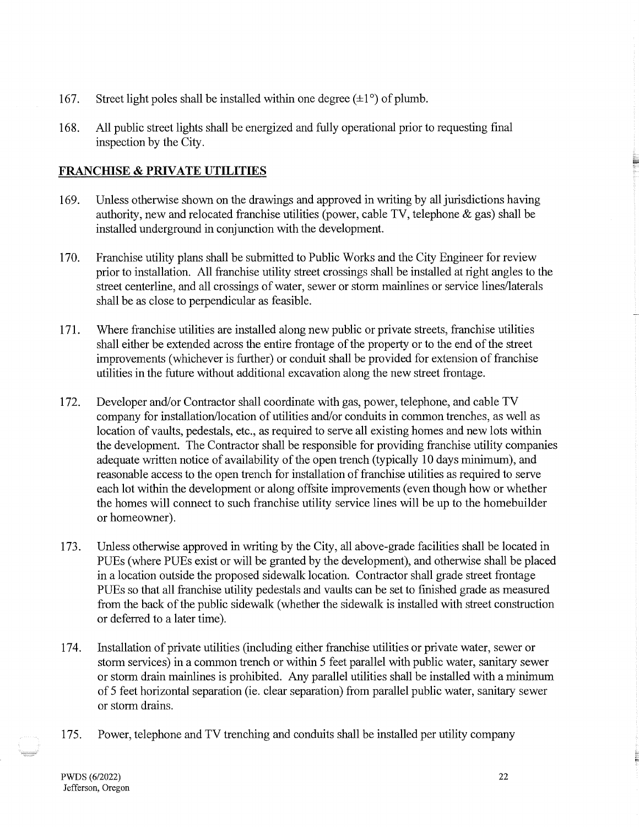- 167. Street light poles shall be installed within one degree  $(\pm 1^{\circ})$  of plumb.
- 168. All public street lights shall be energized and fully operational prior to requesting final inspection by the City.

# **FRANCIDSE & PRIVATE UTILITIES**

- 169. Unless otherwise shown on the drawings and approved in writing by all jurisdictions having authority, new and relocated franchise utilities (power, cable TV, telephone & gas) shall be installed underground in conjunction with the development.
- 170. Franchise utility plans shall be submitted to Public Works and the City Engineer for review prior to installation. All franchise utility street crossings shall be installed at right angles to the street centerline, and all crossings of water, sewer or storm mainlines or service lines/laterals shall be as close to perpendicular as feasible.
- 171. Where franchise utilities are installed along new public or private streets, franchise utilities shall either be extended across the entire frontage of the property or to the end of the street improvements (whichever is further) or conduit shall be provided for extension of franchise utilities in the future without additional excavation along the new street frontage.
- 172. Developer and/or Contractor shall coordinate with gas, power, telephone, and cable TV company for installation/location of utilities and/or conduits in common trenches, as well as location of vaults, pedestals, etc., as required to serve all existing homes and new lots within the development. The Contractor shall be responsible for providing franchise utility companies adequate written notice of availability of the open trench (typically 10 days minimum), and reasonable access to the open trench for installation of franchise utilities as required to serve each lot within the development or along offsite improvements (even though how or whether the homes will connect to such franchise utility service lines will be up to the homebuilder or homeowner).
- 173. Unless otherwise approved in writing by the City, all above-grade facilities shall be located in PUEs (where PUEs exist or will be granted by the development), and otherwise shall be placed in a location outside the proposed sidewalk location. Contractor shall grade street frontage PUEs so that all franchise utility pedestals and vaults can be set to finished grade as measured from the back of the public sidewalk (whether the sidewalk is installed with street construction or deferred to a later time).
- 174. Installation of private utilities (including either franchise utilities or private water, sewer or storm services) in a common trench or within 5 feet parallel with public water, sanitary sewer or storm drain mainlines is prohibited. Any parallel utilities shall be installed with a minimum of 5 feet horizontal separation (ie. clear separation) from parallel public water, sanitary sewer or storm drains.
- 175. Power, telephone and TV trenching and conduits shall be installed per utility company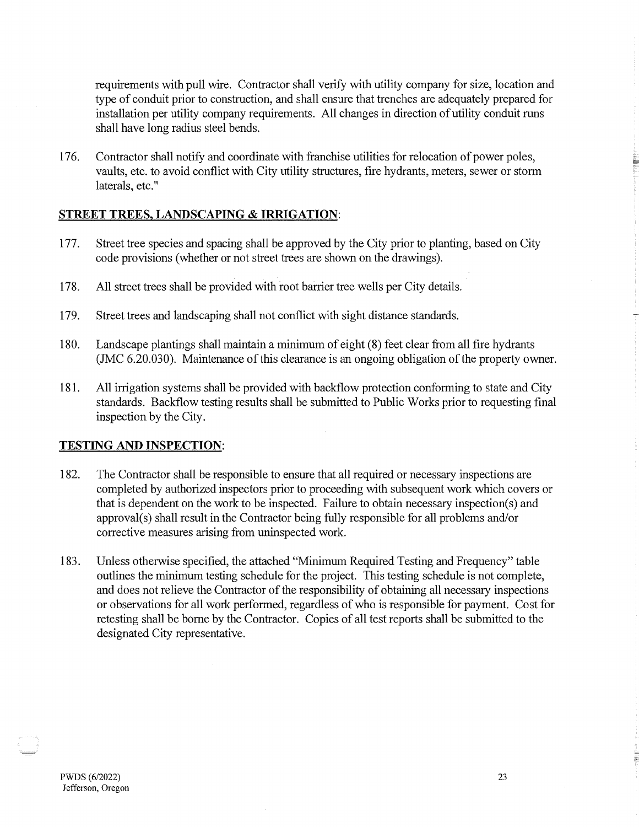requirements with pull wire. Contractor shall verify with utility company for size, location and type of conduit prior to construction, and shall ensure that trenches are adequately prepared for installation per utility company requirements. All changes in direction of utility conduit runs shall have long radius steel bends.

176. Contractor shall notify and coordinate with franchise utilities for relocation of power poles, vaults, etc. to avoid conflict with City utility structures, fire hydrants, meters, sewer or storm laterals, etc."

## **STREET TREES, LANDSCAPING & IRRIGATION:**

- 177. Street tree species and spacing shall be approved by the City prior to planting, based on City code provisions (whether or not street trees are shown on the drawings).
- 178. All street trees shall be provided with root barrier tree wells per City details.
- 179. Street trees and landscaping shall not conflict with sight distance standards.
- 180. Landscape plantings shall maintain a minimum of eight (8) feet clear from all fire hydrants (JMC 6.20.030). Maintenance of this clearance is an ongoing obligation of the property owner.
- 181. All irrigation systems shall be provided with backflow protection conforming to state and City standards. Backflow testing results shall be submitted to Public Works prior to requesting final inspection by the City.

#### **TESTING AND INSPECTION:**

- 182. The Contractor shall be responsible to ensure that all required or necessary inspections are completed by authorized inspectors prior to proceeding with subsequent work which covers or that is dependent on the work to be inspected. Failure to obtain necessary inspection(s) and approval(s) shall result in the Contractor being fully responsible for all problems and/or corrective measures arising from uninspected work.
- 183. Unless otherwise specified, the attached "Minimum Required Testing and Frequency" table outlines the minimum testing schedule for the project. This testing schedule is not complete, and does not relieve the Contractor of the responsibility of obtaining all necessary inspections or observations for all work performed, regardless of who is responsible for payment. Cost for retesting shall be borne by the Contractor. Copies of all test reports shall be submitted to the designated City representative.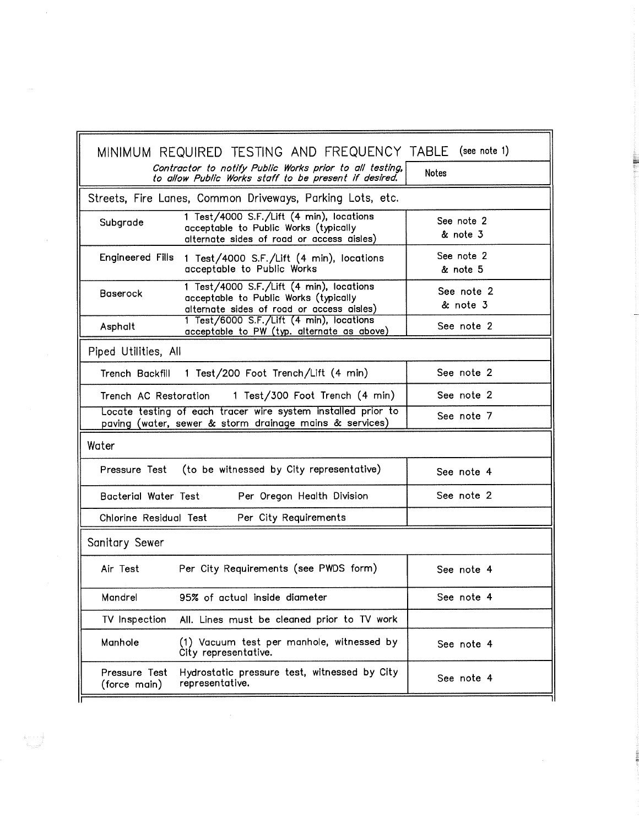|                             | Contractor to notify Public Works prior to all testing,<br>to allow Public Works staff to be present if desired.               | <b>Notes</b>           |
|-----------------------------|--------------------------------------------------------------------------------------------------------------------------------|------------------------|
|                             | Streets, Fire Lanes, Common Driveways, Parking Lots, etc.                                                                      |                        |
| Subgrade                    | 1 Test/4000 S.F./Lift (4 min), locations<br>acceptable to Public Works (typically<br>alternate sides of road or access aisles) | See note 2<br>& note 3 |
| Engineered Fills            | 1 Test/4000 S.F./Lift (4 min), locations<br>acceptable to Public Works                                                         | See note 2<br>& note 5 |
| <b>Baserock</b>             | 1 Test/4000 S.F./Lift (4 min), locations<br>acceptable to Public Works (typically<br>alternate sides of road or access aisles) | See note 2<br>& note 3 |
| Asphalt                     | 1 Test/6000 S.F./Lift (4 min), locations<br>acceptable to PW (typ. alternate as above)                                         | See note 2             |
| Piped Utilities, All        |                                                                                                                                |                        |
| Trench Backfill             | 1 Test/200 Foot Trench/Lift (4 min)                                                                                            | See note 2             |
| Trench AC Restoration       | 1 Test/300 Foot Trench (4 min)                                                                                                 | See note 2             |
|                             | Locate testing of each tracer wire system installed prior to<br>paving (water, sewer & storm drainage mains & services)        | See note 7             |
| Water                       |                                                                                                                                |                        |
| Pressure Test               | (to be witnessed by City representative)                                                                                       | See note 4             |
| <b>Bacterial Water Test</b> | Per Oregon Health Division                                                                                                     | See note 2             |
| Chlorine Residual Test      | Per City Requirements                                                                                                          |                        |
| Sanitary Sewer              |                                                                                                                                |                        |
| Air Test                    | Per City Requirements (see PWDS form)                                                                                          | See note 4             |
| Mandrel                     | 95% of actual inside diameter                                                                                                  | See note 4             |
| TV Inspection               | All. Lines must be cleaned prior to TV work                                                                                    |                        |
| Manhole                     | (1) Vacuum test per manhole, witnessed by<br>City representative.                                                              | See note 4             |
| Pressure Test               | Hydrostatic pressure test, witnessed by City<br>representative.                                                                | See note 4             |

 $\frac{1}{2}$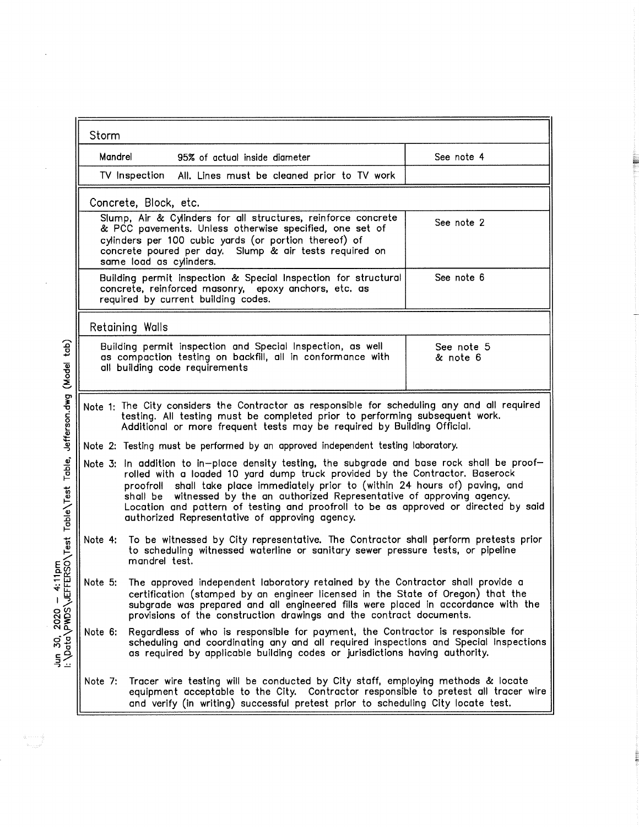|                                                               | Storm                                                                                                                                                                                                                                                                                                                                                                                                                                                                                      |                                                                                                                                                                                                                                                            |            |  |  |
|---------------------------------------------------------------|--------------------------------------------------------------------------------------------------------------------------------------------------------------------------------------------------------------------------------------------------------------------------------------------------------------------------------------------------------------------------------------------------------------------------------------------------------------------------------------------|------------------------------------------------------------------------------------------------------------------------------------------------------------------------------------------------------------------------------------------------------------|------------|--|--|
|                                                               | Mandrel                                                                                                                                                                                                                                                                                                                                                                                                                                                                                    | 95% of actual inside diameter                                                                                                                                                                                                                              | See note 4 |  |  |
|                                                               |                                                                                                                                                                                                                                                                                                                                                                                                                                                                                            | TV Inspection<br>All. Lines must be cleaned prior to TV work                                                                                                                                                                                               |            |  |  |
|                                                               | Concrete, Block, etc.                                                                                                                                                                                                                                                                                                                                                                                                                                                                      |                                                                                                                                                                                                                                                            |            |  |  |
|                                                               | Slump, Air & Cylinders for all structures, reinforce concrete<br>See note 2<br>& PCC pavements. Unless otherwise specified, one set of<br>cylinders per 100 cubic yards (or portion thereof) of<br>concrete poured per day. Slump & air tests required on<br>same load as cylinders.                                                                                                                                                                                                       |                                                                                                                                                                                                                                                            |            |  |  |
| 11pm<br>ERSO\Test Table\Test Table, Jefferson.dwg (Model tab) | See note 6<br>Building permit inspection & Special Inspection for structural<br>concrete, reinforced masonry, epoxy anchors, etc. as<br>required by current building codes.                                                                                                                                                                                                                                                                                                                |                                                                                                                                                                                                                                                            |            |  |  |
|                                                               | Retaining Walls                                                                                                                                                                                                                                                                                                                                                                                                                                                                            |                                                                                                                                                                                                                                                            |            |  |  |
|                                                               | Building permit inspection and Special Inspection, as well<br>See note 5<br>as compaction testing on backfill, all in conformance with<br>& note 6<br>all building code requirements                                                                                                                                                                                                                                                                                                       |                                                                                                                                                                                                                                                            |            |  |  |
|                                                               | Note 1: The City considers the Contractor as responsible for scheduling any and all required<br>testing. All testing must be completed prior to performing subsequent work.<br>Additional or more frequent tests may be required by Building Official.                                                                                                                                                                                                                                     |                                                                                                                                                                                                                                                            |            |  |  |
|                                                               | Note 2: Testing must be performed by an approved independent testing laboratory.                                                                                                                                                                                                                                                                                                                                                                                                           |                                                                                                                                                                                                                                                            |            |  |  |
|                                                               | Note 3: In addition to in-place density testing, the subgrade and base rock shall be proof-<br>rolled with a loaded 10 yard dump truck provided by the Contractor. Baserock<br>proofroll shall take place immediately prior to (within 24 hours of) paving, and<br>witnessed by the an authorized Representative of approving agency.<br>shall be<br>Location and pattern of testing and proofroll to be as approved or directed by said<br>authorized Representative of approving agency. |                                                                                                                                                                                                                                                            |            |  |  |
|                                                               | To be witnessed by City representative. The Contractor shall perform pretests prior<br>Note 4:<br>to scheduling witnessed waterline or sanitary sewer pressure tests, or pipeline<br>mandrel test.                                                                                                                                                                                                                                                                                         |                                                                                                                                                                                                                                                            |            |  |  |
|                                                               | The approved independent laboratory retained by the Contractor shall provide a<br>Note 5:<br>certification (stamped by an engineer licensed in the State of Oregon) that the<br>subgrade was prepared and all engineered fills were placed in accordance with the<br>provisions of the construction drawings and the contract documents.                                                                                                                                                   |                                                                                                                                                                                                                                                            |            |  |  |
| Jun 30, 2020 - 4:<br>L:\Data\PWDS\JEFF                        | Note 6:<br>Regardless of who is responsible for payment, the Contractor is responsible for<br>scheduling and coordinating any and all required inspections and Special Inspections<br>as required by applicable building codes or jurisdictions having authority.                                                                                                                                                                                                                          |                                                                                                                                                                                                                                                            |            |  |  |
|                                                               | Note 7:                                                                                                                                                                                                                                                                                                                                                                                                                                                                                    | Tracer wire testing will be conducted by City staff, employing methods & locate<br>equipment acceptable to the City. Contractor responsible to pretest all tracer wire<br>and verify (in writing) successful pretest prior to scheduling City locate test. |            |  |  |

**THE REAL** 

 $\bar{\beta}$ 

 $\ddot{\phantom{0}}$ 

 $\frac{1}{2}$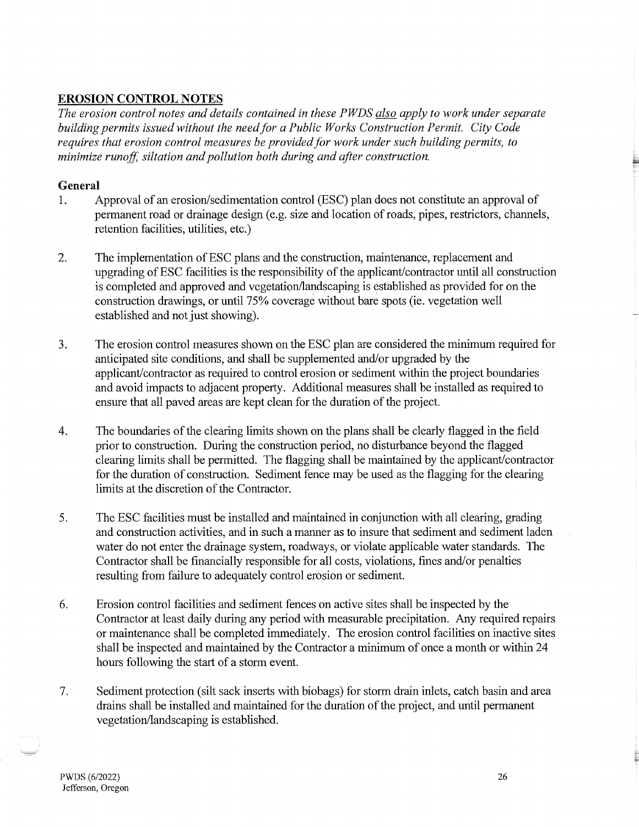# **EROSION CONTROL NOTES**

*The erosion control notes and details contained in these PWDS also apply to work under separate building permits issued without the need for a Public Works Construction Permit. City Code requires that erosion control measures be provided for work under such building permits, to minimize runoff, siltation and pollution both during and after construction.* 

# **General**

- 1. Approval of an erosion/sedimentation control (ESC) plan does not constitute an approval of permanent road or drainage design (e.g. size and location of roads, pipes, restrictors, channels, retention facilities, utilities, etc.)
- 2. The implementation of ESC plans and the construction, maintenance, replacement and upgrading ofESC facilities is the responsibility of the applicant/contractor until all construction is completed and approved and vegetation/landscaping is established as provided for on the construction drawings, or until 75% coverage without bare spots (ie. vegetation well established and not just showing).
- 3. The erosion control measures shown on the ESC plan are considered the minimum required for anticipated site conditions, and shall be supplemented and/or upgraded by the applicant/contractor as required to control erosion or sediment within the project boundaries and avoid impacts to adjacent property. Additional measures shall be installed as required to ensure that all paved areas are kept clean for the duration of the project.
- 4. The boundaries of the clearing limits shown on the plans shall be clearly flagged in the field prior to construction. During the construction period, no disturbance beyond the flagged clearing limits shall be permitted. The flagging shall be maintained by the applicant/contractor for the duration of construction. Sediment fence may be used as the flagging for the clearing limits at the discretion of the Contractor.
- 5. The ESC facilities must be installed and maintained in conjunction with all clearing, grading and construction activities, and in such a manner as to insure that sediment and sediment laden water do not enter the drainage system, roadways, or violate applicable water standards. The Contractor shall be financially responsible for all costs, violations, fines and/or penalties resulting from failure to adequately control erosion or sediment.
- 6. Erosion control facilities and sediment fences on active sites shall be inspected by the Contractor at least daily during any period with measurable precipitation. Any required repairs or maintenance shall be completed immediately. The erosion control facilities on inactive sites shall be inspected and maintained by the Contractor a minimum of once a month or within 24 hours following the start of a storm event.
- 7. Sediment protection (silt sack inserts with biobags) for storm drain inlets, catch basin and area drains shall be installed and maintained for the duration of the project, and until permanent vegetation/landscaping is established.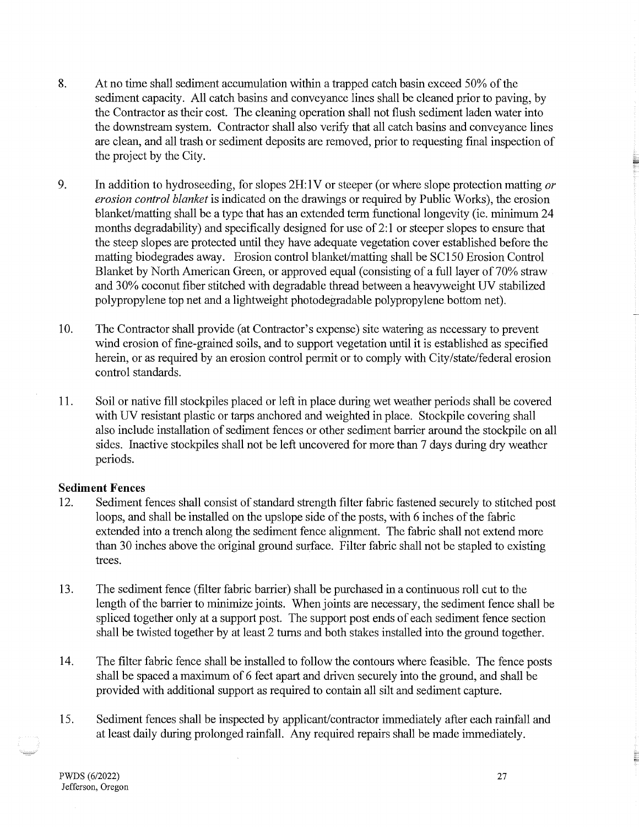- 8. At no time shall sediment accumulation within a trapped catch basin exceed 50% of the sediment capacity. All catch basins and conveyance lines shall be cleaned prior to paving, by the Contractor as their cost. The cleaning operation shall not flush sediment laden water into the downstream system. Contractor shall also verify that all catch basins and conveyance lines are clean, and all trash or sediment deposits are removed, prior to requesting final inspection of the project by the City.
- 9. In addition to hydroseeding, for slopes 2H: 1 V or steeper (or where slope protection matting *or erosion control blanket* is indicated on the drawings or required by Public Works), the erosion blanket/matting shall be a type that has an extended term functional longevity (ie. minimum 24 months degradability) and specifically designed for use of 2:1 or steeper slopes to ensure that the steep slopes are protected until they have adequate vegetation cover established before the matting biodegrades away. Erosion control blanket/matting shall be SC150 Erosion Control Blanket by North American Green, or approved equal (consisting of a full layer of 70% straw and 30% coconut fiber stitched with degradable thread between a heavyweight UV stabilized polypropylene top net and a lightweight photodegradable polypropylene bottom net).
- 10. The Contractor shall provide (at Contractor's expense) site watering as necessary to prevent wind erosion of fine-grained soils, and to support vegetation until it is established as specified herein, or as required by an erosion control permit or to comply with City/state/federal erosion control standards.
- 11. Soil or native fill stockpiles placed or left in place during wet weather periods shall be covered with UV resistant plastic or tarps anchored and weighted in place. Stockpile covering shall also include installation of sediment fences or other sediment barrier around the stockpile on all sides. Inactive stockpiles shall not be left uncovered for more than 7 days during dry weather periods.

# **Sediment** Fences

- 12. Sediment fences shall consist of standard strength filter fabric fastened securely to stitched post loops, and shall be installed on the upslope side of the posts, with 6 inches of the fabric extended into a trench along the sediment fence alignment. The fabric shall not extend more than 30 inches above the original ground surface. Filter fabric shall not be stapled to existing trees.
- 13. The sediment fence (filter fabric barrier) shall be purchased in a continuous roll cut to the length of the barrier to minimize joints. When joints are necessary, the sediment fence shall be spliced together only at a support post. The support post ends of each sediment fence section shall be twisted together by at least 2 turns and both stakes installed into the ground together.
- 14. The filter fabric fence shall be installed to follow the contours where feasible. The fence posts shall be spaced a maximum of 6 feet apart and driven securely into the ground, and shall be provided with additional support as required to contain all silt and sediment capture.
- 15. Sediment fences shall be inspected by applicant/contractor immediately after each rainfall and at least daily during prolonged rainfall. Any required repairs shall be made immediately.

27